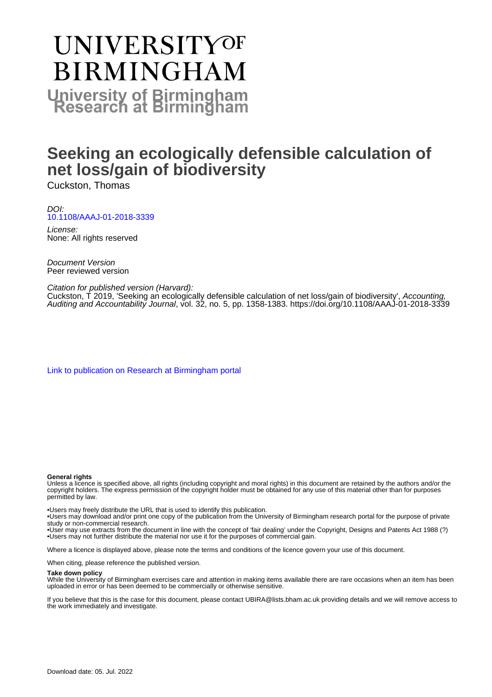# **UNIVERSITYOF BIRMINGHAM University of Birmingham**

# **Seeking an ecologically defensible calculation of net loss/gain of biodiversity**

Cuckston, Thomas

DOI: [10.1108/AAAJ-01-2018-3339](https://doi.org/10.1108/AAAJ-01-2018-3339)

License: None: All rights reserved

Document Version Peer reviewed version

Citation for published version (Harvard):

Cuckston, T 2019, 'Seeking an ecologically defensible calculation of net loss/gain of biodiversity', Accounting, Auditing and Accountability Journal, vol. 32, no. 5, pp. 1358-1383.<https://doi.org/10.1108/AAAJ-01-2018-3339>

[Link to publication on Research at Birmingham portal](https://birmingham.elsevierpure.com/en/publications/2ded266c-41ef-497d-8e03-40caf07738cb)

#### **General rights**

Unless a licence is specified above, all rights (including copyright and moral rights) in this document are retained by the authors and/or the copyright holders. The express permission of the copyright holder must be obtained for any use of this material other than for purposes permitted by law.

• Users may freely distribute the URL that is used to identify this publication.

• Users may download and/or print one copy of the publication from the University of Birmingham research portal for the purpose of private study or non-commercial research.

• User may use extracts from the document in line with the concept of 'fair dealing' under the Copyright, Designs and Patents Act 1988 (?) • Users may not further distribute the material nor use it for the purposes of commercial gain.

Where a licence is displayed above, please note the terms and conditions of the licence govern your use of this document.

When citing, please reference the published version.

#### **Take down policy**

While the University of Birmingham exercises care and attention in making items available there are rare occasions when an item has been uploaded in error or has been deemed to be commercially or otherwise sensitive.

If you believe that this is the case for this document, please contact UBIRA@lists.bham.ac.uk providing details and we will remove access to the work immediately and investigate.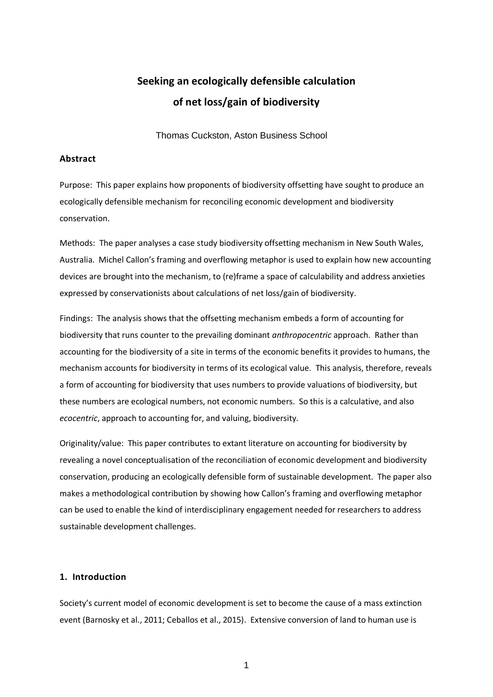# **Seeking an ecologically defensible calculation of net loss/gain of biodiversity**

Thomas Cuckston, Aston Business School

## **Abstract**

Purpose: This paper explains how proponents of biodiversity offsetting have sought to produce an ecologically defensible mechanism for reconciling economic development and biodiversity conservation.

Methods: The paper analyses a case study biodiversity offsetting mechanism in New South Wales, Australia. Michel Callon's framing and overflowing metaphor is used to explain how new accounting devices are brought into the mechanism, to (re)frame a space of calculability and address anxieties expressed by conservationists about calculations of net loss/gain of biodiversity.

Findings: The analysis shows that the offsetting mechanism embeds a form of accounting for biodiversity that runs counter to the prevailing dominant *anthropocentric* approach. Rather than accounting for the biodiversity of a site in terms of the economic benefits it provides to humans, the mechanism accounts for biodiversity in terms of its ecological value. This analysis, therefore, reveals a form of accounting for biodiversity that uses numbers to provide valuations of biodiversity, but these numbers are ecological numbers, not economic numbers. So this is a calculative, and also *ecocentric*, approach to accounting for, and valuing, biodiversity.

Originality/value: This paper contributes to extant literature on accounting for biodiversity by revealing a novel conceptualisation of the reconciliation of economic development and biodiversity conservation, producing an ecologically defensible form of sustainable development. The paper also makes a methodological contribution by showing how Callon's framing and overflowing metaphor can be used to enable the kind of interdisciplinary engagement needed for researchers to address sustainable development challenges.

# **1. Introduction**

Society's current model of economic development is set to become the cause of a mass extinction event (Barnosky et al., 2011; Ceballos et al., 2015). Extensive conversion of land to human use is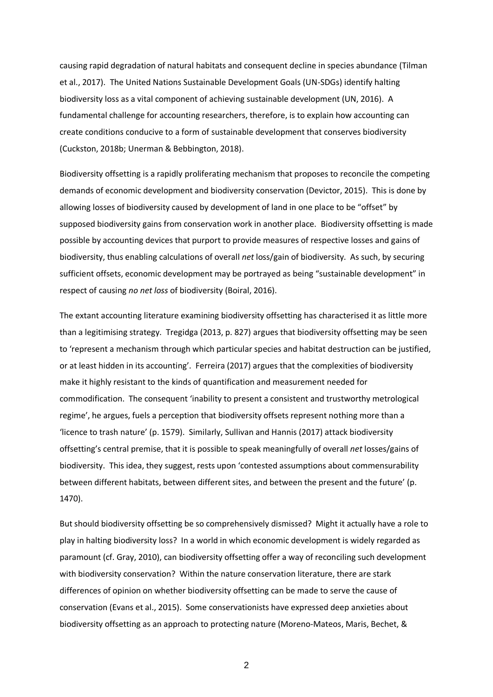causing rapid degradation of natural habitats and consequent decline in species abundance (Tilman et al., 2017). The United Nations Sustainable Development Goals (UN-SDGs) identify halting biodiversity loss as a vital component of achieving sustainable development (UN, 2016). A fundamental challenge for accounting researchers, therefore, is to explain how accounting can create conditions conducive to a form of sustainable development that conserves biodiversity (Cuckston, 2018b; Unerman & Bebbington, 2018).

Biodiversity offsetting is a rapidly proliferating mechanism that proposes to reconcile the competing demands of economic development and biodiversity conservation (Devictor, 2015). This is done by allowing losses of biodiversity caused by development of land in one place to be "offset" by supposed biodiversity gains from conservation work in another place. Biodiversity offsetting is made possible by accounting devices that purport to provide measures of respective losses and gains of biodiversity, thus enabling calculations of overall *net* loss/gain of biodiversity. As such, by securing sufficient offsets, economic development may be portrayed as being "sustainable development" in respect of causing *no net loss* of biodiversity (Boiral, 2016).

The extant accounting literature examining biodiversity offsetting has characterised it as little more than a legitimising strategy. Tregidga (2013, p. 827) argues that biodiversity offsetting may be seen to 'represent a mechanism through which particular species and habitat destruction can be justified, or at least hidden in its accounting'. Ferreira (2017) argues that the complexities of biodiversity make it highly resistant to the kinds of quantification and measurement needed for commodification. The consequent 'inability to present a consistent and trustworthy metrological regime', he argues, fuels a perception that biodiversity offsets represent nothing more than a 'licence to trash nature' (p. 1579). Similarly, Sullivan and Hannis (2017) attack biodiversity offsetting's central premise, that it is possible to speak meaningfully of overall *net* losses/gains of biodiversity. This idea, they suggest, rests upon 'contested assumptions about commensurability between different habitats, between different sites, and between the present and the future' (p. 1470).

But should biodiversity offsetting be so comprehensively dismissed? Might it actually have a role to play in halting biodiversity loss? In a world in which economic development is widely regarded as paramount (cf. Gray, 2010), can biodiversity offsetting offer a way of reconciling such development with biodiversity conservation? Within the nature conservation literature, there are stark differences of opinion on whether biodiversity offsetting can be made to serve the cause of conservation (Evans et al., 2015). Some conservationists have expressed deep anxieties about biodiversity offsetting as an approach to protecting nature (Moreno-Mateos, Maris, Bechet, &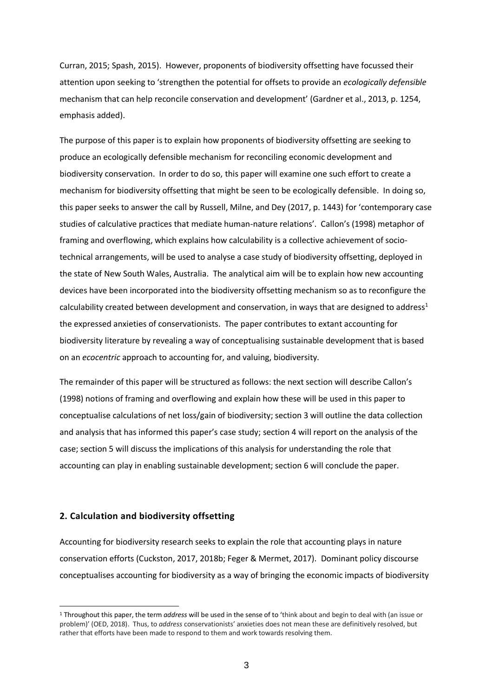Curran, 2015; Spash, 2015). However, proponents of biodiversity offsetting have focussed their attention upon seeking to 'strengthen the potential for offsets to provide an *ecologically defensible*  mechanism that can help reconcile conservation and development' (Gardner et al., 2013, p. 1254, emphasis added).

The purpose of this paper is to explain how proponents of biodiversity offsetting are seeking to produce an ecologically defensible mechanism for reconciling economic development and biodiversity conservation. In order to do so, this paper will examine one such effort to create a mechanism for biodiversity offsetting that might be seen to be ecologically defensible. In doing so, this paper seeks to answer the call by Russell, Milne, and Dey (2017, p. 1443) for 'contemporary case studies of calculative practices that mediate human-nature relations'. Callon's (1998) metaphor of framing and overflowing, which explains how calculability is a collective achievement of sociotechnical arrangements, will be used to analyse a case study of biodiversity offsetting, deployed in the state of New South Wales, Australia. The analytical aim will be to explain how new accounting devices have been incorporated into the biodiversity offsetting mechanism so as to reconfigure the calculability created between development and conservation, in ways that are designed to address<sup>1</sup> the expressed anxieties of conservationists. The paper contributes to extant accounting for biodiversity literature by revealing a way of conceptualising sustainable development that is based on an *ecocentric* approach to accounting for, and valuing, biodiversity.

The remainder of this paper will be structured as follows: the next section will describe Callon's (1998) notions of framing and overflowing and explain how these will be used in this paper to conceptualise calculations of net loss/gain of biodiversity; section 3 will outline the data collection and analysis that has informed this paper's case study; section 4 will report on the analysis of the case; section 5 will discuss the implications of this analysis for understanding the role that accounting can play in enabling sustainable development; section 6 will conclude the paper.

## **2. Calculation and biodiversity offsetting**

-

Accounting for biodiversity research seeks to explain the role that accounting plays in nature conservation efforts (Cuckston, 2017, 2018b; Feger & Mermet, 2017). Dominant policy discourse conceptualises accounting for biodiversity as a way of bringing the economic impacts of biodiversity

<sup>1</sup> Throughout this paper, the term *address* will be used in the sense of to 'think about and begin to deal with (an issue or problem)' (OED, 2018). Thus, to *address* conservationists' anxieties does not mean these are definitively resolved, but rather that efforts have been made to respond to them and work towards resolving them.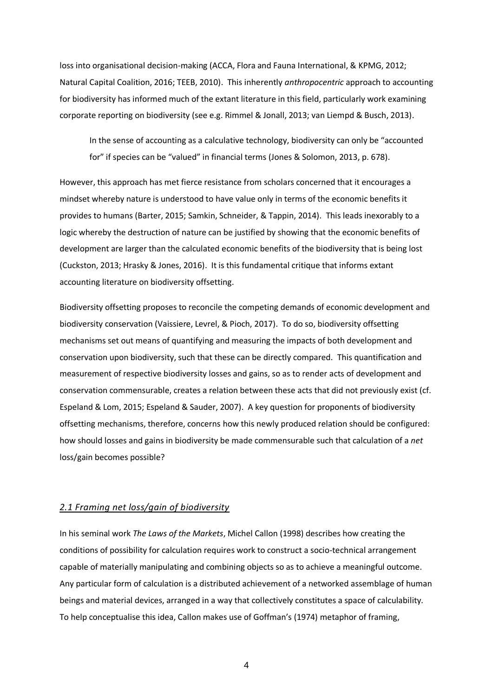loss into organisational decision-making (ACCA, Flora and Fauna International, & KPMG, 2012; Natural Capital Coalition, 2016; TEEB, 2010). This inherently *anthropocentric* approach to accounting for biodiversity has informed much of the extant literature in this field, particularly work examining corporate reporting on biodiversity (see e.g. Rimmel & Jonall, 2013; van Liempd & Busch, 2013).

In the sense of accounting as a calculative technology, biodiversity can only be "accounted for" if species can be "valued" in financial terms (Jones & Solomon, 2013, p. 678).

However, this approach has met fierce resistance from scholars concerned that it encourages a mindset whereby nature is understood to have value only in terms of the economic benefits it provides to humans (Barter, 2015; Samkin, Schneider, & Tappin, 2014). This leads inexorably to a logic whereby the destruction of nature can be justified by showing that the economic benefits of development are larger than the calculated economic benefits of the biodiversity that is being lost (Cuckston, 2013; Hrasky & Jones, 2016). It is this fundamental critique that informs extant accounting literature on biodiversity offsetting.

Biodiversity offsetting proposes to reconcile the competing demands of economic development and biodiversity conservation (Vaissiere, Levrel, & Pioch, 2017). To do so, biodiversity offsetting mechanisms set out means of quantifying and measuring the impacts of both development and conservation upon biodiversity, such that these can be directly compared. This quantification and measurement of respective biodiversity losses and gains, so as to render acts of development and conservation commensurable, creates a relation between these acts that did not previously exist (cf. Espeland & Lom, 2015; Espeland & Sauder, 2007). A key question for proponents of biodiversity offsetting mechanisms, therefore, concerns how this newly produced relation should be configured: how should losses and gains in biodiversity be made commensurable such that calculation of a *net* loss/gain becomes possible?

### *2.1 Framing net loss/gain of biodiversity*

In his seminal work *The Laws of the Markets*, Michel Callon (1998) describes how creating the conditions of possibility for calculation requires work to construct a socio-technical arrangement capable of materially manipulating and combining objects so as to achieve a meaningful outcome. Any particular form of calculation is a distributed achievement of a networked assemblage of human beings and material devices, arranged in a way that collectively constitutes a space of calculability. To help conceptualise this idea, Callon makes use of Goffman's (1974) metaphor of framing,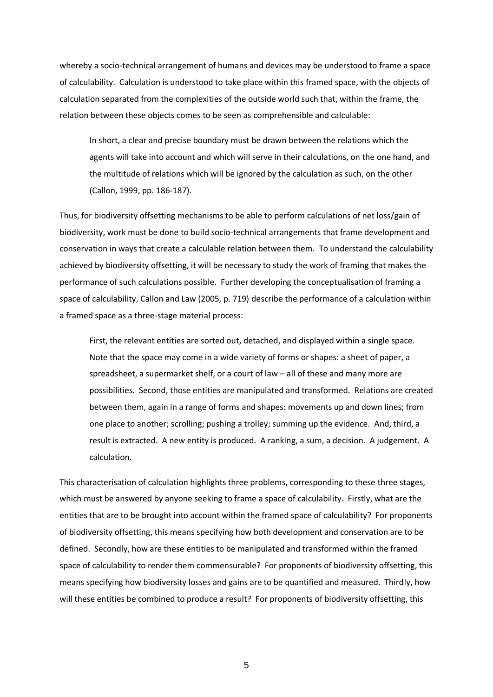whereby a socio-technical arrangement of humans and devices may be understood to frame a space of calculability. Calculation is understood to take place within this framed space, with the objects of calculation separated from the complexities of the outside world such that, within the frame, the relation between these objects comes to be seen as comprehensible and calculable:

In short, a clear and precise boundary must be drawn between the relations which the agents will take into account and which will serve in their calculations, on the one hand, and the multitude of relations which will be ignored by the calculation as such, on the other (Callon, 1999, pp. 186-187).

Thus, for biodiversity offsetting mechanisms to be able to perform calculations of net loss/gain of biodiversity, work must be done to build socio-technical arrangements that frame development and conservation in ways that create a calculable relation between them. To understand the calculability achieved by biodiversity offsetting, it will be necessary to study the work of framing that makes the performance of such calculations possible. Further developing the conceptualisation of framing a space of calculability, Callon and Law (2005, p. 719) describe the performance of a calculation within a framed space as a three-stage material process:

First, the relevant entities are sorted out, detached, and displayed within a single space. Note that the space may come in a wide variety of forms or shapes: a sheet of paper, a spreadsheet, a supermarket shelf, or a court of law – all of these and many more are possibilities. Second, those entities are manipulated and transformed. Relations are created between them, again in a range of forms and shapes: movements up and down lines; from one place to another; scrolling; pushing a trolley; summing up the evidence. And, third, a result is extracted. A new entity is produced. A ranking, a sum, a decision. A judgement. A calculation.

This characterisation of calculation highlights three problems, corresponding to these three stages, which must be answered by anyone seeking to frame a space of calculability. Firstly, what are the entities that are to be brought into account within the framed space of calculability? For proponents of biodiversity offsetting, this means specifying how both development and conservation are to be defined. Secondly, how are these entities to be manipulated and transformed within the framed space of calculability to render them commensurable? For proponents of biodiversity offsetting, this means specifying how biodiversity losses and gains are to be quantified and measured. Thirdly, how will these entities be combined to produce a result? For proponents of biodiversity offsetting, this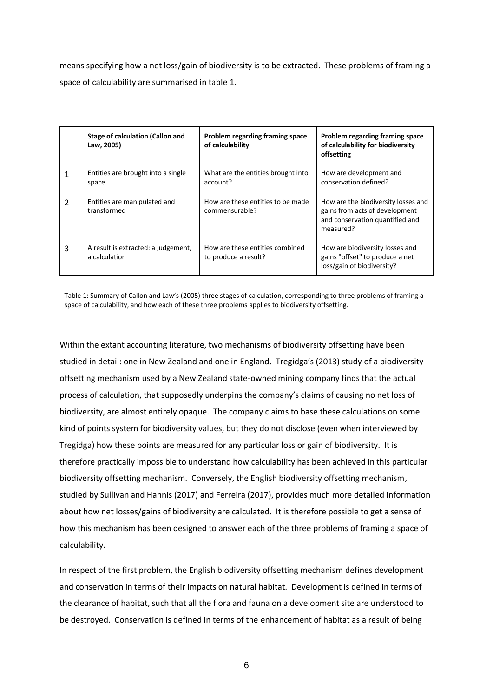means specifying how a net loss/gain of biodiversity is to be extracted. These problems of framing a space of calculability are summarised in table 1.

|   | <b>Stage of calculation (Callon and</b><br>Law, 2005) | Problem regarding framing space<br>of calculability     | Problem regarding framing space<br>of calculability for biodiversity<br>offsetting                                    |
|---|-------------------------------------------------------|---------------------------------------------------------|-----------------------------------------------------------------------------------------------------------------------|
|   | Entities are brought into a single<br>space           | What are the entities brought into<br>account?          | How are development and<br>conservation defined?                                                                      |
| 2 | Entities are manipulated and<br>transformed           | How are these entities to be made<br>commensurable?     | How are the biodiversity losses and<br>gains from acts of development<br>and conservation quantified and<br>measured? |
| 3 | A result is extracted: a judgement,<br>a calculation  | How are these entities combined<br>to produce a result? | How are biodiversity losses and<br>gains "offset" to produce a net<br>loss/gain of biodiversity?                      |

Table 1: Summary of Callon and Law's (2005) three stages of calculation, corresponding to three problems of framing a space of calculability, and how each of these three problems applies to biodiversity offsetting.

Within the extant accounting literature, two mechanisms of biodiversity offsetting have been studied in detail: one in New Zealand and one in England. Tregidga's (2013) study of a biodiversity offsetting mechanism used by a New Zealand state-owned mining company finds that the actual process of calculation, that supposedly underpins the company's claims of causing no net loss of biodiversity, are almost entirely opaque. The company claims to base these calculations on some kind of points system for biodiversity values, but they do not disclose (even when interviewed by Tregidga) how these points are measured for any particular loss or gain of biodiversity. It is therefore practically impossible to understand how calculability has been achieved in this particular biodiversity offsetting mechanism. Conversely, the English biodiversity offsetting mechanism, studied by Sullivan and Hannis (2017) and Ferreira (2017), provides much more detailed information about how net losses/gains of biodiversity are calculated. It is therefore possible to get a sense of how this mechanism has been designed to answer each of the three problems of framing a space of calculability.

In respect of the first problem, the English biodiversity offsetting mechanism defines development and conservation in terms of their impacts on natural habitat. Development is defined in terms of the clearance of habitat, such that all the flora and fauna on a development site are understood to be destroyed. Conservation is defined in terms of the enhancement of habitat as a result of being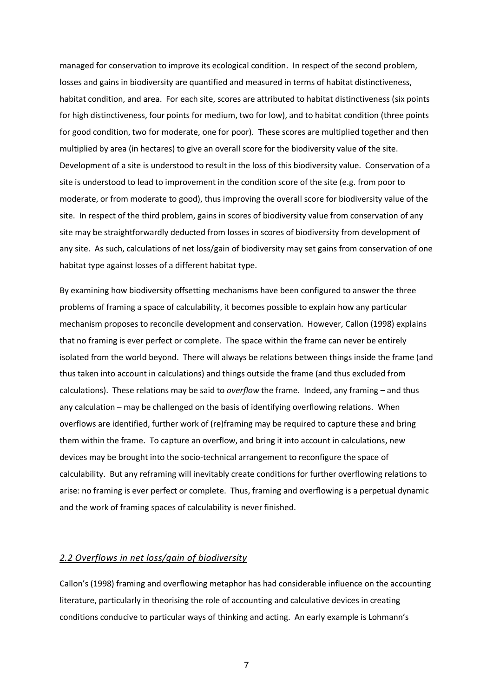managed for conservation to improve its ecological condition. In respect of the second problem, losses and gains in biodiversity are quantified and measured in terms of habitat distinctiveness, habitat condition, and area. For each site, scores are attributed to habitat distinctiveness (six points for high distinctiveness, four points for medium, two for low), and to habitat condition (three points for good condition, two for moderate, one for poor). These scores are multiplied together and then multiplied by area (in hectares) to give an overall score for the biodiversity value of the site. Development of a site is understood to result in the loss of this biodiversity value. Conservation of a site is understood to lead to improvement in the condition score of the site (e.g. from poor to moderate, or from moderate to good), thus improving the overall score for biodiversity value of the site. In respect of the third problem, gains in scores of biodiversity value from conservation of any site may be straightforwardly deducted from losses in scores of biodiversity from development of any site. As such, calculations of net loss/gain of biodiversity may set gains from conservation of one habitat type against losses of a different habitat type.

By examining how biodiversity offsetting mechanisms have been configured to answer the three problems of framing a space of calculability, it becomes possible to explain how any particular mechanism proposes to reconcile development and conservation. However, Callon (1998) explains that no framing is ever perfect or complete. The space within the frame can never be entirely isolated from the world beyond. There will always be relations between things inside the frame (and thus taken into account in calculations) and things outside the frame (and thus excluded from calculations). These relations may be said to *overflow* the frame. Indeed, any framing – and thus any calculation – may be challenged on the basis of identifying overflowing relations. When overflows are identified, further work of (re)framing may be required to capture these and bring them within the frame. To capture an overflow, and bring it into account in calculations, new devices may be brought into the socio-technical arrangement to reconfigure the space of calculability. But any reframing will inevitably create conditions for further overflowing relations to arise: no framing is ever perfect or complete. Thus, framing and overflowing is a perpetual dynamic and the work of framing spaces of calculability is never finished.

## *2.2 Overflows in net loss/gain of biodiversity*

Callon's (1998) framing and overflowing metaphor has had considerable influence on the accounting literature, particularly in theorising the role of accounting and calculative devices in creating conditions conducive to particular ways of thinking and acting. An early example is Lohmann's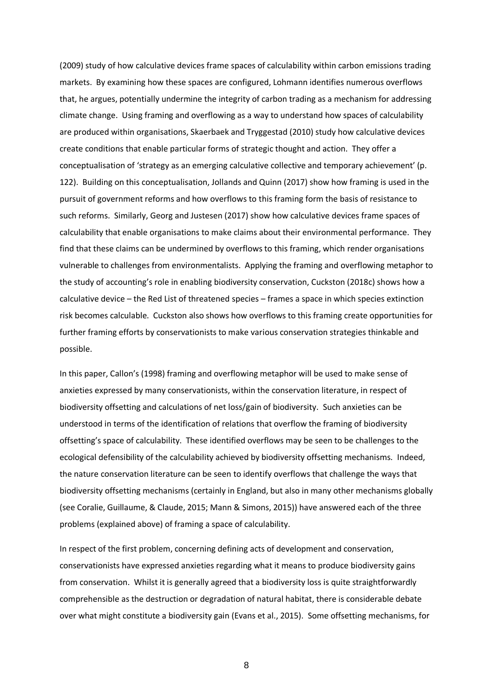(2009) study of how calculative devices frame spaces of calculability within carbon emissions trading markets. By examining how these spaces are configured, Lohmann identifies numerous overflows that, he argues, potentially undermine the integrity of carbon trading as a mechanism for addressing climate change. Using framing and overflowing as a way to understand how spaces of calculability are produced within organisations, Skaerbaek and Tryggestad (2010) study how calculative devices create conditions that enable particular forms of strategic thought and action. They offer a conceptualisation of 'strategy as an emerging calculative collective and temporary achievement' (p. 122). Building on this conceptualisation, Jollands and Quinn (2017) show how framing is used in the pursuit of government reforms and how overflows to this framing form the basis of resistance to such reforms. Similarly, Georg and Justesen (2017) show how calculative devices frame spaces of calculability that enable organisations to make claims about their environmental performance. They find that these claims can be undermined by overflows to this framing, which render organisations vulnerable to challenges from environmentalists. Applying the framing and overflowing metaphor to the study of accounting's role in enabling biodiversity conservation, Cuckston (2018c) shows how a calculative device – the Red List of threatened species – frames a space in which species extinction risk becomes calculable. Cuckston also shows how overflows to this framing create opportunities for further framing efforts by conservationists to make various conservation strategies thinkable and possible.

In this paper, Callon's (1998) framing and overflowing metaphor will be used to make sense of anxieties expressed by many conservationists, within the conservation literature, in respect of biodiversity offsetting and calculations of net loss/gain of biodiversity. Such anxieties can be understood in terms of the identification of relations that overflow the framing of biodiversity offsetting's space of calculability. These identified overflows may be seen to be challenges to the ecological defensibility of the calculability achieved by biodiversity offsetting mechanisms. Indeed, the nature conservation literature can be seen to identify overflows that challenge the ways that biodiversity offsetting mechanisms (certainly in England, but also in many other mechanisms globally (see Coralie, Guillaume, & Claude, 2015; Mann & Simons, 2015)) have answered each of the three problems (explained above) of framing a space of calculability.

In respect of the first problem, concerning defining acts of development and conservation, conservationists have expressed anxieties regarding what it means to produce biodiversity gains from conservation. Whilst it is generally agreed that a biodiversity loss is quite straightforwardly comprehensible as the destruction or degradation of natural habitat, there is considerable debate over what might constitute a biodiversity gain (Evans et al., 2015). Some offsetting mechanisms, for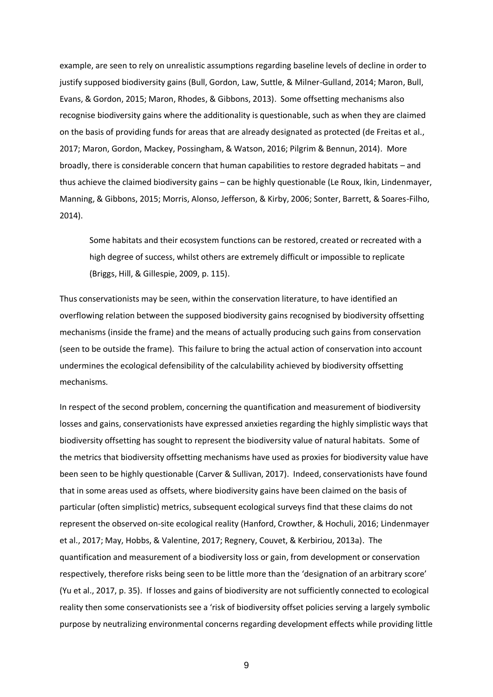example, are seen to rely on unrealistic assumptions regarding baseline levels of decline in order to justify supposed biodiversity gains (Bull, Gordon, Law, Suttle, & Milner-Gulland, 2014; Maron, Bull, Evans, & Gordon, 2015; Maron, Rhodes, & Gibbons, 2013). Some offsetting mechanisms also recognise biodiversity gains where the additionality is questionable, such as when they are claimed on the basis of providing funds for areas that are already designated as protected (de Freitas et al., 2017; Maron, Gordon, Mackey, Possingham, & Watson, 2016; Pilgrim & Bennun, 2014). More broadly, there is considerable concern that human capabilities to restore degraded habitats – and thus achieve the claimed biodiversity gains – can be highly questionable (Le Roux, Ikin, Lindenmayer, Manning, & Gibbons, 2015; Morris, Alonso, Jefferson, & Kirby, 2006; Sonter, Barrett, & Soares-Filho, 2014).

Some habitats and their ecosystem functions can be restored, created or recreated with a high degree of success, whilst others are extremely difficult or impossible to replicate (Briggs, Hill, & Gillespie, 2009, p. 115).

Thus conservationists may be seen, within the conservation literature, to have identified an overflowing relation between the supposed biodiversity gains recognised by biodiversity offsetting mechanisms (inside the frame) and the means of actually producing such gains from conservation (seen to be outside the frame). This failure to bring the actual action of conservation into account undermines the ecological defensibility of the calculability achieved by biodiversity offsetting mechanisms.

In respect of the second problem, concerning the quantification and measurement of biodiversity losses and gains, conservationists have expressed anxieties regarding the highly simplistic ways that biodiversity offsetting has sought to represent the biodiversity value of natural habitats. Some of the metrics that biodiversity offsetting mechanisms have used as proxies for biodiversity value have been seen to be highly questionable (Carver & Sullivan, 2017). Indeed, conservationists have found that in some areas used as offsets, where biodiversity gains have been claimed on the basis of particular (often simplistic) metrics, subsequent ecological surveys find that these claims do not represent the observed on-site ecological reality (Hanford, Crowther, & Hochuli, 2016; Lindenmayer et al., 2017; May, Hobbs, & Valentine, 2017; Regnery, Couvet, & Kerbiriou, 2013a). The quantification and measurement of a biodiversity loss or gain, from development or conservation respectively, therefore risks being seen to be little more than the 'designation of an arbitrary score' (Yu et al., 2017, p. 35). If losses and gains of biodiversity are not sufficiently connected to ecological reality then some conservationists see a 'risk of biodiversity offset policies serving a largely symbolic purpose by neutralizing environmental concerns regarding development effects while providing little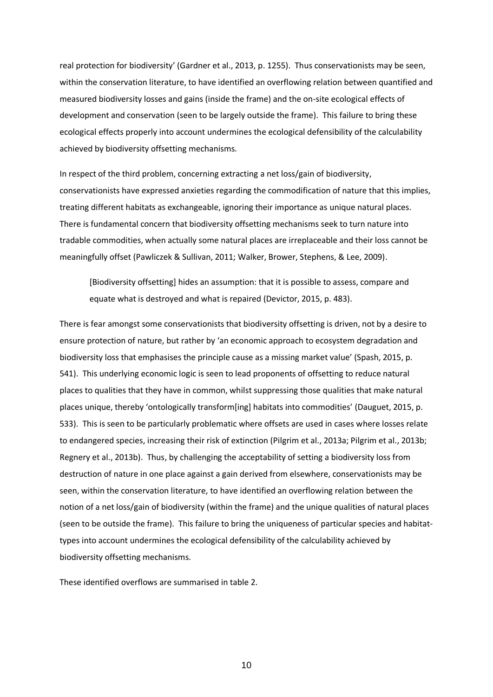real protection for biodiversity' (Gardner et al., 2013, p. 1255). Thus conservationists may be seen, within the conservation literature, to have identified an overflowing relation between quantified and measured biodiversity losses and gains (inside the frame) and the on-site ecological effects of development and conservation (seen to be largely outside the frame). This failure to bring these ecological effects properly into account undermines the ecological defensibility of the calculability achieved by biodiversity offsetting mechanisms.

In respect of the third problem, concerning extracting a net loss/gain of biodiversity, conservationists have expressed anxieties regarding the commodification of nature that this implies, treating different habitats as exchangeable, ignoring their importance as unique natural places. There is fundamental concern that biodiversity offsetting mechanisms seek to turn nature into tradable commodities, when actually some natural places are irreplaceable and their loss cannot be meaningfully offset (Pawliczek & Sullivan, 2011; Walker, Brower, Stephens, & Lee, 2009).

[Biodiversity offsetting] hides an assumption: that it is possible to assess, compare and equate what is destroyed and what is repaired (Devictor, 2015, p. 483).

There is fear amongst some conservationists that biodiversity offsetting is driven, not by a desire to ensure protection of nature, but rather by 'an economic approach to ecosystem degradation and biodiversity loss that emphasises the principle cause as a missing market value' (Spash, 2015, p. 541). This underlying economic logic is seen to lead proponents of offsetting to reduce natural places to qualities that they have in common, whilst suppressing those qualities that make natural places unique, thereby 'ontologically transform[ing] habitats into commodities' (Dauguet, 2015, p. 533). This is seen to be particularly problematic where offsets are used in cases where losses relate to endangered species, increasing their risk of extinction (Pilgrim et al., 2013a; Pilgrim et al., 2013b; Regnery et al., 2013b). Thus, by challenging the acceptability of setting a biodiversity loss from destruction of nature in one place against a gain derived from elsewhere, conservationists may be seen, within the conservation literature, to have identified an overflowing relation between the notion of a net loss/gain of biodiversity (within the frame) and the unique qualities of natural places (seen to be outside the frame). This failure to bring the uniqueness of particular species and habitattypes into account undermines the ecological defensibility of the calculability achieved by biodiversity offsetting mechanisms.

These identified overflows are summarised in table 2.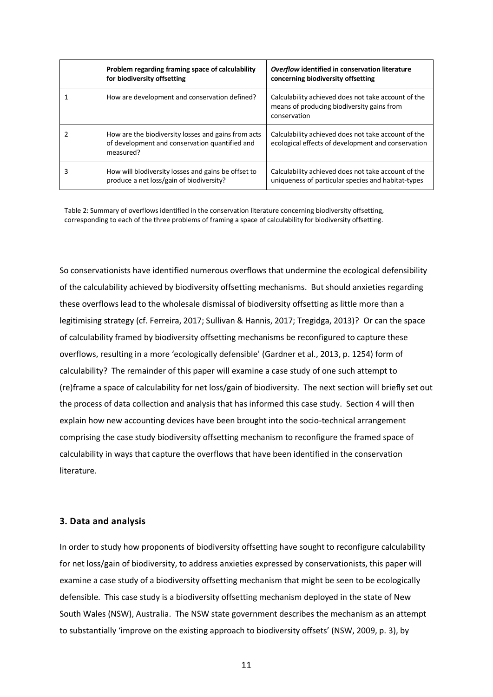|   | Problem regarding framing space of calculability<br>for biodiversity offsetting                                    | Overflow identified in conservation literature<br>concerning biodiversity offsetting                              |
|---|--------------------------------------------------------------------------------------------------------------------|-------------------------------------------------------------------------------------------------------------------|
|   | How are development and conservation defined?                                                                      | Calculability achieved does not take account of the<br>means of producing biodiversity gains from<br>conservation |
|   | How are the biodiversity losses and gains from acts<br>of development and conservation quantified and<br>measured? | Calculability achieved does not take account of the<br>ecological effects of development and conservation         |
| 3 | How will biodiversity losses and gains be offset to<br>produce a net loss/gain of biodiversity?                    | Calculability achieved does not take account of the<br>uniqueness of particular species and habitat-types         |

Table 2: Summary of overflows identified in the conservation literature concerning biodiversity offsetting, corresponding to each of the three problems of framing a space of calculability for biodiversity offsetting.

So conservationists have identified numerous overflows that undermine the ecological defensibility of the calculability achieved by biodiversity offsetting mechanisms. But should anxieties regarding these overflows lead to the wholesale dismissal of biodiversity offsetting as little more than a legitimising strategy (cf. Ferreira, 2017; Sullivan & Hannis, 2017; Tregidga, 2013)? Or can the space of calculability framed by biodiversity offsetting mechanisms be reconfigured to capture these overflows, resulting in a more 'ecologically defensible' (Gardner et al., 2013, p. 1254) form of calculability? The remainder of this paper will examine a case study of one such attempt to (re)frame a space of calculability for net loss/gain of biodiversity. The next section will briefly set out the process of data collection and analysis that has informed this case study. Section 4 will then explain how new accounting devices have been brought into the socio-technical arrangement comprising the case study biodiversity offsetting mechanism to reconfigure the framed space of calculability in ways that capture the overflows that have been identified in the conservation literature.

#### **3. Data and analysis**

In order to study how proponents of biodiversity offsetting have sought to reconfigure calculability for net loss/gain of biodiversity, to address anxieties expressed by conservationists, this paper will examine a case study of a biodiversity offsetting mechanism that might be seen to be ecologically defensible. This case study is a biodiversity offsetting mechanism deployed in the state of New South Wales (NSW), Australia. The NSW state government describes the mechanism as an attempt to substantially 'improve on the existing approach to biodiversity offsets' (NSW, 2009, p. 3), by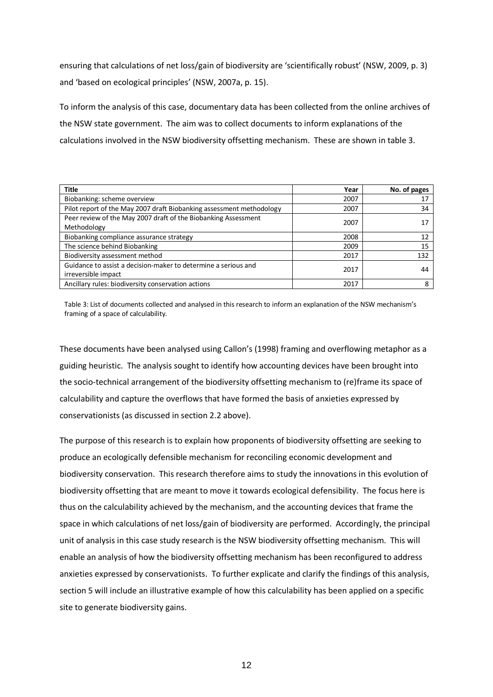ensuring that calculations of net loss/gain of biodiversity are 'scientifically robust' (NSW, 2009, p. 3) and 'based on ecological principles' (NSW, 2007a, p. 15).

To inform the analysis of this case, documentary data has been collected from the online archives of the NSW state government. The aim was to collect documents to inform explanations of the calculations involved in the NSW biodiversity offsetting mechanism. These are shown in table 3.

| <b>Title</b>                                                                          | Year | No. of pages |
|---------------------------------------------------------------------------------------|------|--------------|
| Biobanking: scheme overview                                                           | 2007 |              |
| Pilot report of the May 2007 draft Biobanking assessment methodology                  | 2007 | 34           |
| Peer review of the May 2007 draft of the Biobanking Assessment<br>Methodology         | 2007 |              |
| Biobanking compliance assurance strategy                                              | 2008 | 12           |
| The science behind Biobanking                                                         | 2009 | 15           |
| Biodiversity assessment method                                                        | 2017 | 132          |
| Guidance to assist a decision-maker to determine a serious and<br>irreversible impact | 2017 | 44           |
| Ancillary rules: biodiversity conservation actions                                    | 2017 | 8            |

Table 3: List of documents collected and analysed in this research to inform an explanation of the NSW mechanism's framing of a space of calculability.

These documents have been analysed using Callon's (1998) framing and overflowing metaphor as a guiding heuristic. The analysis sought to identify how accounting devices have been brought into the socio-technical arrangement of the biodiversity offsetting mechanism to (re)frame its space of calculability and capture the overflows that have formed the basis of anxieties expressed by conservationists (as discussed in section 2.2 above).

The purpose of this research is to explain how proponents of biodiversity offsetting are seeking to produce an ecologically defensible mechanism for reconciling economic development and biodiversity conservation. This research therefore aims to study the innovations in this evolution of biodiversity offsetting that are meant to move it towards ecological defensibility. The focus here is thus on the calculability achieved by the mechanism, and the accounting devices that frame the space in which calculations of net loss/gain of biodiversity are performed. Accordingly, the principal unit of analysis in this case study research is the NSW biodiversity offsetting mechanism. This will enable an analysis of how the biodiversity offsetting mechanism has been reconfigured to address anxieties expressed by conservationists. To further explicate and clarify the findings of this analysis, section 5 will include an illustrative example of how this calculability has been applied on a specific site to generate biodiversity gains.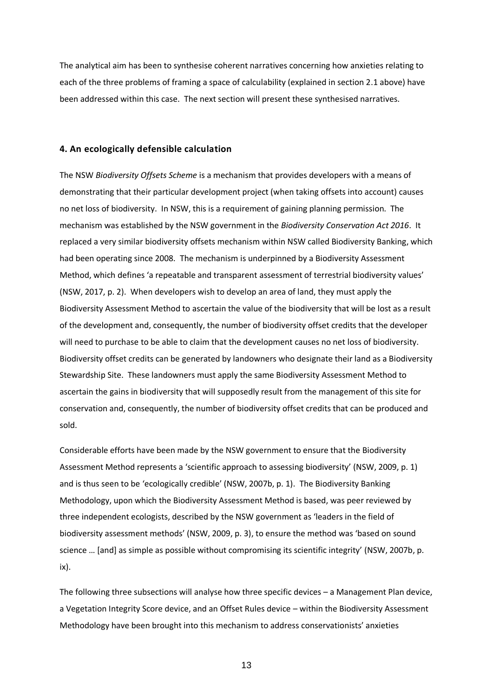The analytical aim has been to synthesise coherent narratives concerning how anxieties relating to each of the three problems of framing a space of calculability (explained in section 2.1 above) have been addressed within this case. The next section will present these synthesised narratives.

### **4. An ecologically defensible calculation**

The NSW *Biodiversity Offsets Scheme* is a mechanism that provides developers with a means of demonstrating that their particular development project (when taking offsets into account) causes no net loss of biodiversity. In NSW, this is a requirement of gaining planning permission. The mechanism was established by the NSW government in the *Biodiversity Conservation Act 2016*. It replaced a very similar biodiversity offsets mechanism within NSW called Biodiversity Banking, which had been operating since 2008. The mechanism is underpinned by a Biodiversity Assessment Method, which defines 'a repeatable and transparent assessment of terrestrial biodiversity values' (NSW, 2017, p. 2). When developers wish to develop an area of land, they must apply the Biodiversity Assessment Method to ascertain the value of the biodiversity that will be lost as a result of the development and, consequently, the number of biodiversity offset credits that the developer will need to purchase to be able to claim that the development causes no net loss of biodiversity. Biodiversity offset credits can be generated by landowners who designate their land as a Biodiversity Stewardship Site. These landowners must apply the same Biodiversity Assessment Method to ascertain the gains in biodiversity that will supposedly result from the management of this site for conservation and, consequently, the number of biodiversity offset credits that can be produced and sold.

Considerable efforts have been made by the NSW government to ensure that the Biodiversity Assessment Method represents a 'scientific approach to assessing biodiversity' (NSW, 2009, p. 1) and is thus seen to be 'ecologically credible' (NSW, 2007b, p. 1). The Biodiversity Banking Methodology, upon which the Biodiversity Assessment Method is based, was peer reviewed by three independent ecologists, described by the NSW government as 'leaders in the field of biodiversity assessment methods' (NSW, 2009, p. 3), to ensure the method was 'based on sound science … [and] as simple as possible without compromising its scientific integrity' (NSW, 2007b, p. ix).

The following three subsections will analyse how three specific devices – a Management Plan device, a Vegetation Integrity Score device, and an Offset Rules device – within the Biodiversity Assessment Methodology have been brought into this mechanism to address conservationists' anxieties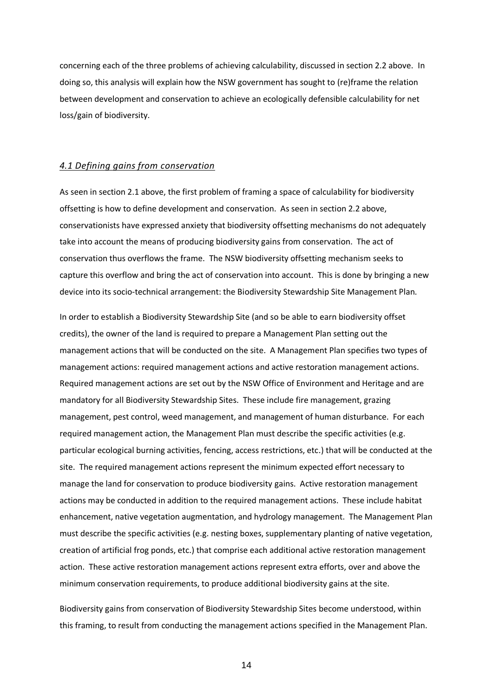concerning each of the three problems of achieving calculability, discussed in section 2.2 above. In doing so, this analysis will explain how the NSW government has sought to (re)frame the relation between development and conservation to achieve an ecologically defensible calculability for net loss/gain of biodiversity.

# *4.1 Defining gains from conservation*

As seen in section 2.1 above, the first problem of framing a space of calculability for biodiversity offsetting is how to define development and conservation. As seen in section 2.2 above, conservationists have expressed anxiety that biodiversity offsetting mechanisms do not adequately take into account the means of producing biodiversity gains from conservation. The act of conservation thus overflows the frame. The NSW biodiversity offsetting mechanism seeks to capture this overflow and bring the act of conservation into account. This is done by bringing a new device into its socio-technical arrangement: the Biodiversity Stewardship Site Management Plan.

In order to establish a Biodiversity Stewardship Site (and so be able to earn biodiversity offset credits), the owner of the land is required to prepare a Management Plan setting out the management actions that will be conducted on the site. A Management Plan specifies two types of management actions: required management actions and active restoration management actions. Required management actions are set out by the NSW Office of Environment and Heritage and are mandatory for all Biodiversity Stewardship Sites. These include fire management, grazing management, pest control, weed management, and management of human disturbance. For each required management action, the Management Plan must describe the specific activities (e.g. particular ecological burning activities, fencing, access restrictions, etc.) that will be conducted at the site. The required management actions represent the minimum expected effort necessary to manage the land for conservation to produce biodiversity gains. Active restoration management actions may be conducted in addition to the required management actions. These include habitat enhancement, native vegetation augmentation, and hydrology management. The Management Plan must describe the specific activities (e.g. nesting boxes, supplementary planting of native vegetation, creation of artificial frog ponds, etc.) that comprise each additional active restoration management action. These active restoration management actions represent extra efforts, over and above the minimum conservation requirements, to produce additional biodiversity gains at the site.

Biodiversity gains from conservation of Biodiversity Stewardship Sites become understood, within this framing, to result from conducting the management actions specified in the Management Plan.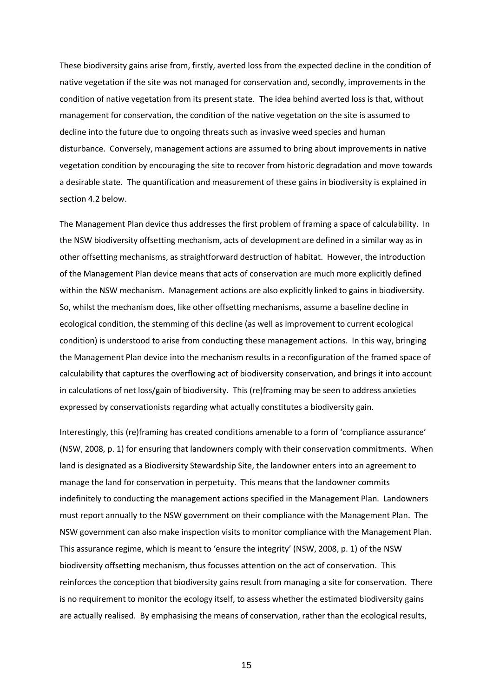These biodiversity gains arise from, firstly, averted loss from the expected decline in the condition of native vegetation if the site was not managed for conservation and, secondly, improvements in the condition of native vegetation from its present state. The idea behind averted loss is that, without management for conservation, the condition of the native vegetation on the site is assumed to decline into the future due to ongoing threats such as invasive weed species and human disturbance. Conversely, management actions are assumed to bring about improvements in native vegetation condition by encouraging the site to recover from historic degradation and move towards a desirable state. The quantification and measurement of these gains in biodiversity is explained in section 4.2 below.

The Management Plan device thus addresses the first problem of framing a space of calculability. In the NSW biodiversity offsetting mechanism, acts of development are defined in a similar way as in other offsetting mechanisms, as straightforward destruction of habitat. However, the introduction of the Management Plan device means that acts of conservation are much more explicitly defined within the NSW mechanism. Management actions are also explicitly linked to gains in biodiversity. So, whilst the mechanism does, like other offsetting mechanisms, assume a baseline decline in ecological condition, the stemming of this decline (as well as improvement to current ecological condition) is understood to arise from conducting these management actions. In this way, bringing the Management Plan device into the mechanism results in a reconfiguration of the framed space of calculability that captures the overflowing act of biodiversity conservation, and brings it into account in calculations of net loss/gain of biodiversity. This (re)framing may be seen to address anxieties expressed by conservationists regarding what actually constitutes a biodiversity gain.

Interestingly, this (re)framing has created conditions amenable to a form of 'compliance assurance' (NSW, 2008, p. 1) for ensuring that landowners comply with their conservation commitments. When land is designated as a Biodiversity Stewardship Site, the landowner enters into an agreement to manage the land for conservation in perpetuity. This means that the landowner commits indefinitely to conducting the management actions specified in the Management Plan. Landowners must report annually to the NSW government on their compliance with the Management Plan. The NSW government can also make inspection visits to monitor compliance with the Management Plan. This assurance regime, which is meant to 'ensure the integrity' (NSW, 2008, p. 1) of the NSW biodiversity offsetting mechanism, thus focusses attention on the act of conservation. This reinforces the conception that biodiversity gains result from managing a site for conservation. There is no requirement to monitor the ecology itself, to assess whether the estimated biodiversity gains are actually realised. By emphasising the means of conservation, rather than the ecological results,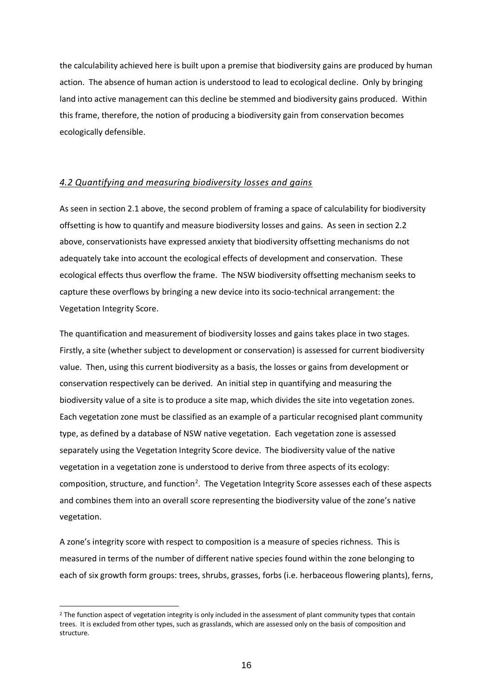the calculability achieved here is built upon a premise that biodiversity gains are produced by human action. The absence of human action is understood to lead to ecological decline. Only by bringing land into active management can this decline be stemmed and biodiversity gains produced. Within this frame, therefore, the notion of producing a biodiversity gain from conservation becomes ecologically defensible.

#### *4.2 Quantifying and measuring biodiversity losses and gains*

As seen in section 2.1 above, the second problem of framing a space of calculability for biodiversity offsetting is how to quantify and measure biodiversity losses and gains. As seen in section 2.2 above, conservationists have expressed anxiety that biodiversity offsetting mechanisms do not adequately take into account the ecological effects of development and conservation. These ecological effects thus overflow the frame. The NSW biodiversity offsetting mechanism seeks to capture these overflows by bringing a new device into its socio-technical arrangement: the Vegetation Integrity Score.

The quantification and measurement of biodiversity losses and gains takes place in two stages. Firstly, a site (whether subject to development or conservation) is assessed for current biodiversity value. Then, using this current biodiversity as a basis, the losses or gains from development or conservation respectively can be derived. An initial step in quantifying and measuring the biodiversity value of a site is to produce a site map, which divides the site into vegetation zones. Each vegetation zone must be classified as an example of a particular recognised plant community type, as defined by a database of NSW native vegetation. Each vegetation zone is assessed separately using the Vegetation Integrity Score device. The biodiversity value of the native vegetation in a vegetation zone is understood to derive from three aspects of its ecology: composition, structure, and function<sup>2</sup>. The Vegetation Integrity Score assesses each of these aspects and combines them into an overall score representing the biodiversity value of the zone's native vegetation.

A zone's integrity score with respect to composition is a measure of species richness. This is measured in terms of the number of different native species found within the zone belonging to each of six growth form groups: trees, shrubs, grasses, forbs (i.e. herbaceous flowering plants), ferns,

<sup>&</sup>lt;sup>2</sup> The function aspect of vegetation integrity is only included in the assessment of plant community types that contain trees. It is excluded from other types, such as grasslands, which are assessed only on the basis of composition and structure.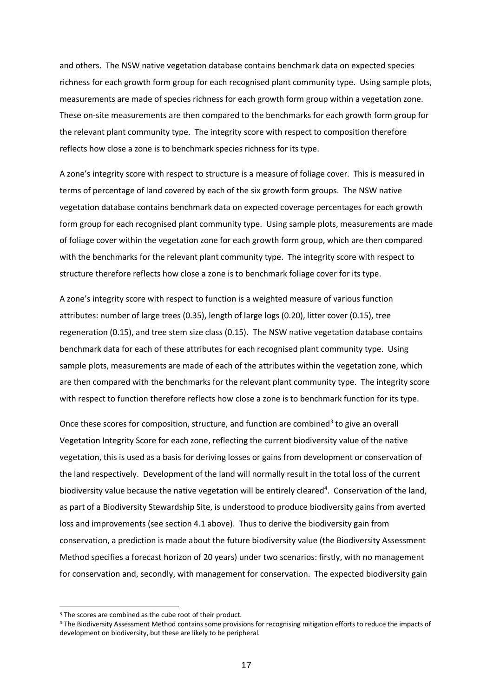and others. The NSW native vegetation database contains benchmark data on expected species richness for each growth form group for each recognised plant community type. Using sample plots, measurements are made of species richness for each growth form group within a vegetation zone. These on-site measurements are then compared to the benchmarks for each growth form group for the relevant plant community type. The integrity score with respect to composition therefore reflects how close a zone is to benchmark species richness for its type.

A zone's integrity score with respect to structure is a measure of foliage cover. This is measured in terms of percentage of land covered by each of the six growth form groups. The NSW native vegetation database contains benchmark data on expected coverage percentages for each growth form group for each recognised plant community type. Using sample plots, measurements are made of foliage cover within the vegetation zone for each growth form group, which are then compared with the benchmarks for the relevant plant community type. The integrity score with respect to structure therefore reflects how close a zone is to benchmark foliage cover for its type.

A zone's integrity score with respect to function is a weighted measure of various function attributes: number of large trees (0.35), length of large logs (0.20), litter cover (0.15), tree regeneration (0.15), and tree stem size class (0.15). The NSW native vegetation database contains benchmark data for each of these attributes for each recognised plant community type. Using sample plots, measurements are made of each of the attributes within the vegetation zone, which are then compared with the benchmarks for the relevant plant community type. The integrity score with respect to function therefore reflects how close a zone is to benchmark function for its type.

Once these scores for composition, structure, and function are combined<sup>3</sup> to give an overall Vegetation Integrity Score for each zone, reflecting the current biodiversity value of the native vegetation, this is used as a basis for deriving losses or gains from development or conservation of the land respectively. Development of the land will normally result in the total loss of the current biodiversity value because the native vegetation will be entirely cleared<sup>4</sup>. Conservation of the land, as part of a Biodiversity Stewardship Site, is understood to produce biodiversity gains from averted loss and improvements (see section 4.1 above). Thus to derive the biodiversity gain from conservation, a prediction is made about the future biodiversity value (the Biodiversity Assessment Method specifies a forecast horizon of 20 years) under two scenarios: firstly, with no management for conservation and, secondly, with management for conservation. The expected biodiversity gain

<sup>&</sup>lt;sup>3</sup> The scores are combined as the cube root of their product.

<sup>4</sup> The Biodiversity Assessment Method contains some provisions for recognising mitigation efforts to reduce the impacts of development on biodiversity, but these are likely to be peripheral.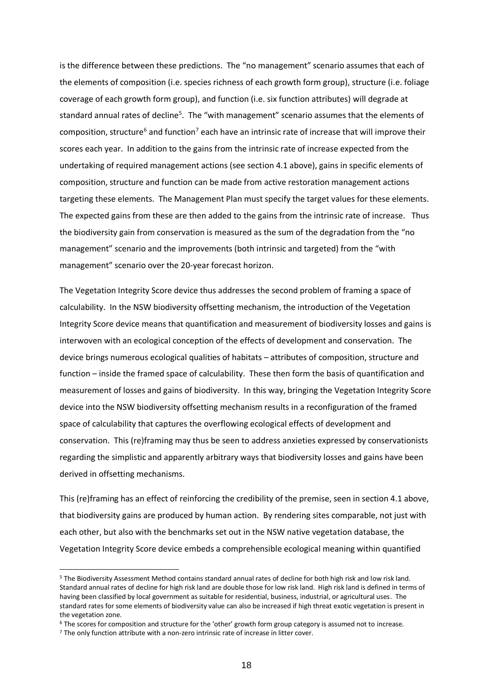is the difference between these predictions. The "no management" scenario assumes that each of the elements of composition (i.e. species richness of each growth form group), structure (i.e. foliage coverage of each growth form group), and function (i.e. six function attributes) will degrade at standard annual rates of decline<sup>5</sup>. The "with management" scenario assumes that the elements of composition, structure<sup>6</sup> and function<sup>7</sup> each have an intrinsic rate of increase that will improve their scores each year. In addition to the gains from the intrinsic rate of increase expected from the undertaking of required management actions (see section 4.1 above), gains in specific elements of composition, structure and function can be made from active restoration management actions targeting these elements. The Management Plan must specify the target values for these elements. The expected gains from these are then added to the gains from the intrinsic rate of increase. Thus the biodiversity gain from conservation is measured as the sum of the degradation from the "no management" scenario and the improvements (both intrinsic and targeted) from the "with management" scenario over the 20-year forecast horizon.

The Vegetation Integrity Score device thus addresses the second problem of framing a space of calculability. In the NSW biodiversity offsetting mechanism, the introduction of the Vegetation Integrity Score device means that quantification and measurement of biodiversity losses and gains is interwoven with an ecological conception of the effects of development and conservation. The device brings numerous ecological qualities of habitats – attributes of composition, structure and function – inside the framed space of calculability. These then form the basis of quantification and measurement of losses and gains of biodiversity. In this way, bringing the Vegetation Integrity Score device into the NSW biodiversity offsetting mechanism results in a reconfiguration of the framed space of calculability that captures the overflowing ecological effects of development and conservation. This (re)framing may thus be seen to address anxieties expressed by conservationists regarding the simplistic and apparently arbitrary ways that biodiversity losses and gains have been derived in offsetting mechanisms.

This (re)framing has an effect of reinforcing the credibility of the premise, seen in section 4.1 above, that biodiversity gains are produced by human action. By rendering sites comparable, not just with each other, but also with the benchmarks set out in the NSW native vegetation database, the Vegetation Integrity Score device embeds a comprehensible ecological meaning within quantified

<sup>5</sup> The Biodiversity Assessment Method contains standard annual rates of decline for both high risk and low risk land. Standard annual rates of decline for high risk land are double those for low risk land. High risk land is defined in terms of having been classified by local government as suitable for residential, business, industrial, or agricultural uses. The standard rates for some elements of biodiversity value can also be increased if high threat exotic vegetation is present in the vegetation zone.

<sup>6</sup> The scores for composition and structure for the 'other' growth form group category is assumed not to increase.

<sup>7</sup> The only function attribute with a non-zero intrinsic rate of increase in litter cover.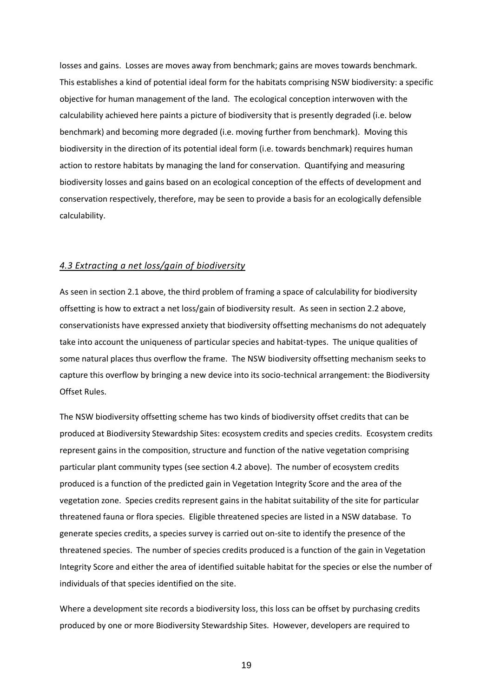losses and gains. Losses are moves away from benchmark; gains are moves towards benchmark. This establishes a kind of potential ideal form for the habitats comprising NSW biodiversity: a specific objective for human management of the land. The ecological conception interwoven with the calculability achieved here paints a picture of biodiversity that is presently degraded (i.e. below benchmark) and becoming more degraded (i.e. moving further from benchmark). Moving this biodiversity in the direction of its potential ideal form (i.e. towards benchmark) requires human action to restore habitats by managing the land for conservation. Quantifying and measuring biodiversity losses and gains based on an ecological conception of the effects of development and conservation respectively, therefore, may be seen to provide a basis for an ecologically defensible calculability.

#### *4.3 Extracting a net loss/gain of biodiversity*

As seen in section 2.1 above, the third problem of framing a space of calculability for biodiversity offsetting is how to extract a net loss/gain of biodiversity result. As seen in section 2.2 above, conservationists have expressed anxiety that biodiversity offsetting mechanisms do not adequately take into account the uniqueness of particular species and habitat-types. The unique qualities of some natural places thus overflow the frame. The NSW biodiversity offsetting mechanism seeks to capture this overflow by bringing a new device into its socio-technical arrangement: the Biodiversity Offset Rules.

The NSW biodiversity offsetting scheme has two kinds of biodiversity offset credits that can be produced at Biodiversity Stewardship Sites: ecosystem credits and species credits. Ecosystem credits represent gains in the composition, structure and function of the native vegetation comprising particular plant community types (see section 4.2 above). The number of ecosystem credits produced is a function of the predicted gain in Vegetation Integrity Score and the area of the vegetation zone. Species credits represent gains in the habitat suitability of the site for particular threatened fauna or flora species. Eligible threatened species are listed in a NSW database. To generate species credits, a species survey is carried out on-site to identify the presence of the threatened species. The number of species credits produced is a function of the gain in Vegetation Integrity Score and either the area of identified suitable habitat for the species or else the number of individuals of that species identified on the site.

Where a development site records a biodiversity loss, this loss can be offset by purchasing credits produced by one or more Biodiversity Stewardship Sites. However, developers are required to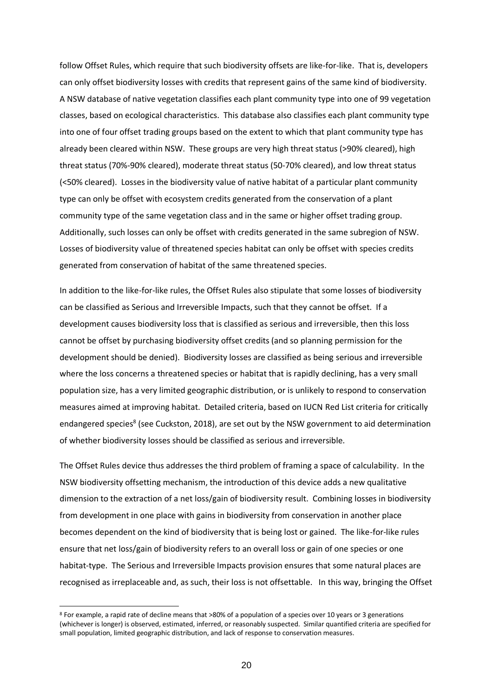follow Offset Rules, which require that such biodiversity offsets are like-for-like. That is, developers can only offset biodiversity losses with credits that represent gains of the same kind of biodiversity. A NSW database of native vegetation classifies each plant community type into one of 99 vegetation classes, based on ecological characteristics. This database also classifies each plant community type into one of four offset trading groups based on the extent to which that plant community type has already been cleared within NSW. These groups are very high threat status (>90% cleared), high threat status (70%-90% cleared), moderate threat status (50-70% cleared), and low threat status (<50% cleared). Losses in the biodiversity value of native habitat of a particular plant community type can only be offset with ecosystem credits generated from the conservation of a plant community type of the same vegetation class and in the same or higher offset trading group. Additionally, such losses can only be offset with credits generated in the same subregion of NSW. Losses of biodiversity value of threatened species habitat can only be offset with species credits generated from conservation of habitat of the same threatened species.

In addition to the like-for-like rules, the Offset Rules also stipulate that some losses of biodiversity can be classified as Serious and Irreversible Impacts, such that they cannot be offset. If a development causes biodiversity loss that is classified as serious and irreversible, then this loss cannot be offset by purchasing biodiversity offset credits (and so planning permission for the development should be denied). Biodiversity losses are classified as being serious and irreversible where the loss concerns a threatened species or habitat that is rapidly declining, has a very small population size, has a very limited geographic distribution, or is unlikely to respond to conservation measures aimed at improving habitat. Detailed criteria, based on IUCN Red List criteria for critically endangered species<sup>8</sup> (see Cuckston, 2018), are set out by the NSW government to aid determination of whether biodiversity losses should be classified as serious and irreversible.

The Offset Rules device thus addresses the third problem of framing a space of calculability. In the NSW biodiversity offsetting mechanism, the introduction of this device adds a new qualitative dimension to the extraction of a net loss/gain of biodiversity result. Combining losses in biodiversity from development in one place with gains in biodiversity from conservation in another place becomes dependent on the kind of biodiversity that is being lost or gained. The like-for-like rules ensure that net loss/gain of biodiversity refers to an overall loss or gain of one species or one habitat-type. The Serious and Irreversible Impacts provision ensures that some natural places are recognised as irreplaceable and, as such, their loss is not offsettable. In this way, bringing the Offset

<sup>8</sup> For example, a rapid rate of decline means that >80% of a population of a species over 10 years or 3 generations (whichever is longer) is observed, estimated, inferred, or reasonably suspected. Similar quantified criteria are specified for small population, limited geographic distribution, and lack of response to conservation measures.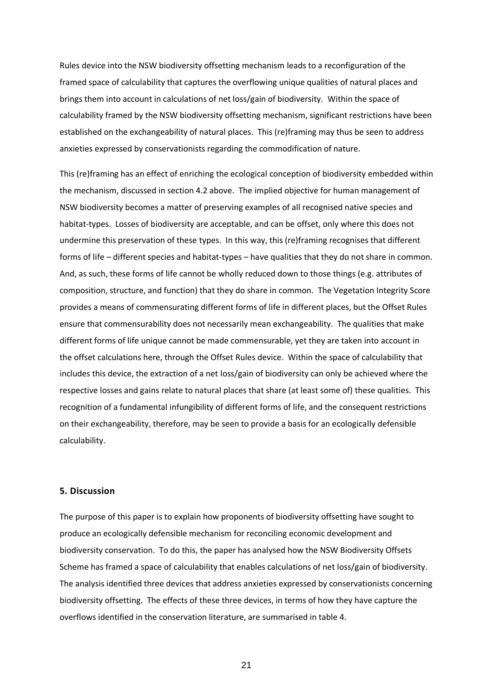Rules device into the NSW biodiversity offsetting mechanism leads to a reconfiguration of the framed space of calculability that captures the overflowing unique qualities of natural places and brings them into account in calculations of net loss/gain of biodiversity. Within the space of calculability framed by the NSW biodiversity offsetting mechanism, significant restrictions have been established on the exchangeability of natural places. This (re)framing may thus be seen to address anxieties expressed by conservationists regarding the commodification of nature.

This (re)framing has an effect of enriching the ecological conception of biodiversity embedded within the mechanism, discussed in section 4.2 above. The implied objective for human management of NSW biodiversity becomes a matter of preserving examples of all recognised native species and habitat-types. Losses of biodiversity are acceptable, and can be offset, only where this does not undermine this preservation of these types. In this way, this (re)framing recognises that different forms of life – different species and habitat-types – have qualities that they do not share in common. And, as such, these forms of life cannot be wholly reduced down to those things (e.g. attributes of composition, structure, and function) that they do share in common. The Vegetation Integrity Score provides a means of commensurating different forms of life in different places, but the Offset Rules ensure that commensurability does not necessarily mean exchangeability. The qualities that make different forms of life unique cannot be made commensurable, yet they are taken into account in the offset calculations here, through the Offset Rules device. Within the space of calculability that includes this device, the extraction of a net loss/gain of biodiversity can only be achieved where the respective losses and gains relate to natural places that share (at least some of) these qualities. This recognition of a fundamental infungibility of different forms of life, and the consequent restrictions on their exchangeability, therefore, may be seen to provide a basis for an ecologically defensible calculability.

#### **5. Discussion**

The purpose of this paper is to explain how proponents of biodiversity offsetting have sought to produce an ecologically defensible mechanism for reconciling economic development and biodiversity conservation. To do this, the paper has analysed how the NSW Biodiversity Offsets Scheme has framed a space of calculability that enables calculations of net loss/gain of biodiversity. The analysis identified three devices that address anxieties expressed by conservationists concerning biodiversity offsetting. The effects of these three devices, in terms of how they have capture the overflows identified in the conservation literature, are summarised in table 4.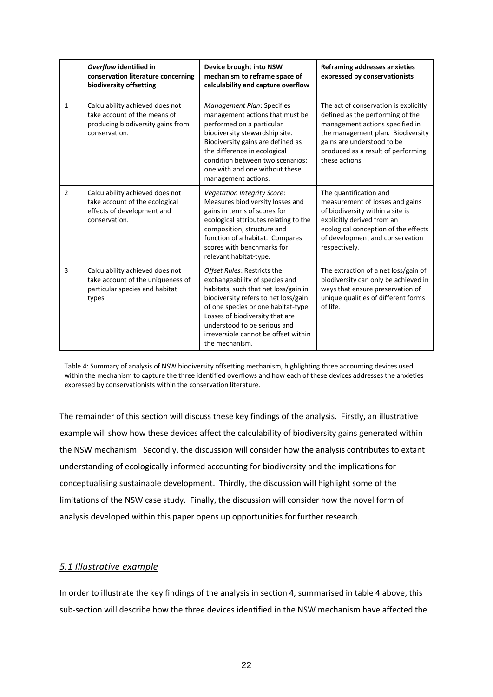|                | Overflow identified in<br>conservation literature concerning<br>biodiversity offsetting                               | Device brought into NSW<br>mechanism to reframe space of<br>calculability and capture overflow                                                                                                                                                                                                                    | <b>Reframing addresses anxieties</b><br>expressed by conservationists                                                                                                                                                                   |
|----------------|-----------------------------------------------------------------------------------------------------------------------|-------------------------------------------------------------------------------------------------------------------------------------------------------------------------------------------------------------------------------------------------------------------------------------------------------------------|-----------------------------------------------------------------------------------------------------------------------------------------------------------------------------------------------------------------------------------------|
| $\mathbf{1}$   | Calculability achieved does not<br>take account of the means of<br>producing biodiversity gains from<br>conservation. | <b>Management Plan: Specifies</b><br>management actions that must be<br>performed on a particular<br>biodiversity stewardship site.<br>Biodiversity gains are defined as<br>the difference in ecological<br>condition between two scenarios:<br>one with and one without these<br>management actions.             | The act of conservation is explicitly<br>defined as the performing of the<br>management actions specified in<br>the management plan. Biodiversity<br>gains are understood to be<br>produced as a result of performing<br>these actions. |
| $\overline{2}$ | Calculability achieved does not<br>take account of the ecological<br>effects of development and<br>conservation.      | <b>Vegetation Integrity Score:</b><br>Measures biodiversity losses and<br>gains in terms of scores for<br>ecological attributes relating to the<br>composition, structure and<br>function of a habitat. Compares<br>scores with benchmarks for<br>relevant habitat-type.                                          | The quantification and<br>measurement of losses and gains<br>of biodiversity within a site is<br>explicitly derived from an<br>ecological conception of the effects<br>of development and conservation<br>respectively.                 |
| 3              | Calculability achieved does not<br>take account of the uniqueness of<br>particular species and habitat<br>types.      | Offset Rules: Restricts the<br>exchangeability of species and<br>habitats, such that net loss/gain in<br>biodiversity refers to net loss/gain<br>of one species or one habitat-type.<br>Losses of biodiversity that are<br>understood to be serious and<br>irreversible cannot be offset within<br>the mechanism. | The extraction of a net loss/gain of<br>biodiversity can only be achieved in<br>ways that ensure preservation of<br>unique qualities of different forms<br>of life.                                                                     |

Table 4: Summary of analysis of NSW biodiversity offsetting mechanism, highlighting three accounting devices used within the mechanism to capture the three identified overflows and how each of these devices addresses the anxieties expressed by conservationists within the conservation literature.

The remainder of this section will discuss these key findings of the analysis. Firstly, an illustrative example will show how these devices affect the calculability of biodiversity gains generated within the NSW mechanism. Secondly, the discussion will consider how the analysis contributes to extant understanding of ecologically-informed accounting for biodiversity and the implications for conceptualising sustainable development. Thirdly, the discussion will highlight some of the limitations of the NSW case study. Finally, the discussion will consider how the novel form of analysis developed within this paper opens up opportunities for further research.

## *5.1 Illustrative example*

In order to illustrate the key findings of the analysis in section 4, summarised in table 4 above, this sub-section will describe how the three devices identified in the NSW mechanism have affected the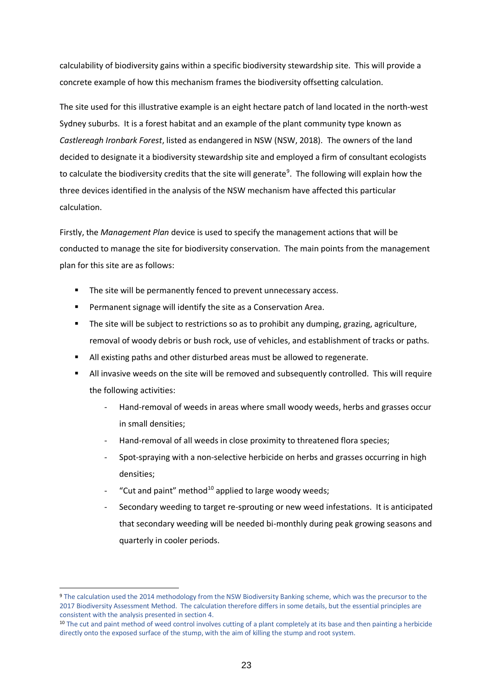calculability of biodiversity gains within a specific biodiversity stewardship site. This will provide a concrete example of how this mechanism frames the biodiversity offsetting calculation.

The site used for this illustrative example is an eight hectare patch of land located in the north-west Sydney suburbs. It is a forest habitat and an example of the plant community type known as *Castlereagh Ironbark Forest*, listed as endangered in NSW (NSW, 2018). The owners of the land decided to designate it a biodiversity stewardship site and employed a firm of consultant ecologists to calculate the biodiversity credits that the site will generate<sup>9</sup>. The following will explain how the three devices identified in the analysis of the NSW mechanism have affected this particular calculation.

Firstly, the *Management Plan* device is used to specify the management actions that will be conducted to manage the site for biodiversity conservation. The main points from the management plan for this site are as follows:

- The site will be permanently fenced to prevent unnecessary access.
- Permanent signage will identify the site as a Conservation Area.
- The site will be subject to restrictions so as to prohibit any dumping, grazing, agriculture, removal of woody debris or bush rock, use of vehicles, and establishment of tracks or paths.
- All existing paths and other disturbed areas must be allowed to regenerate.
- All invasive weeds on the site will be removed and subsequently controlled. This will require the following activities:
	- Hand-removal of weeds in areas where small woody weeds, herbs and grasses occur in small densities;
	- Hand-removal of all weeds in close proximity to threatened flora species;
	- Spot-spraying with a non-selective herbicide on herbs and grasses occurring in high densities;
	- "Cut and paint" method $^{10}$  applied to large woody weeds;

-

Secondary weeding to target re-sprouting or new weed infestations. It is anticipated that secondary weeding will be needed bi-monthly during peak growing seasons and quarterly in cooler periods.

<sup>9</sup> The calculation used the 2014 methodology from the NSW Biodiversity Banking scheme, which was the precursor to the 2017 Biodiversity Assessment Method. The calculation therefore differs in some details, but the essential principles are consistent with the analysis presented in section 4.

<sup>&</sup>lt;sup>10</sup> The cut and paint method of weed control involves cutting of a plant completely at its base and then painting a herbicide directly onto the exposed surface of the stump, with the aim of killing the stump and root system.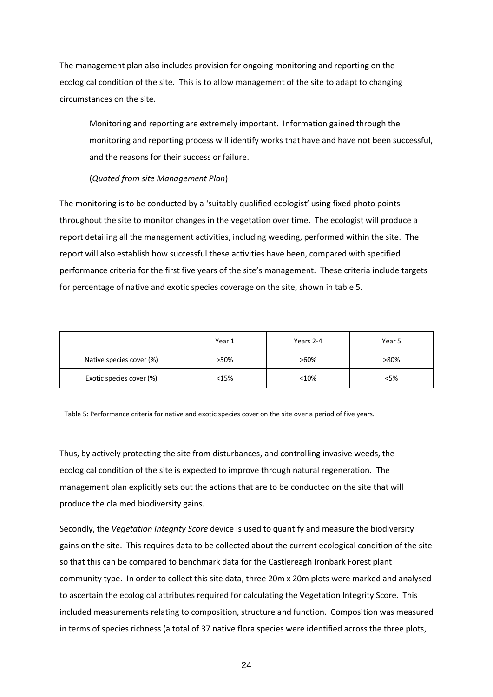The management plan also includes provision for ongoing monitoring and reporting on the ecological condition of the site. This is to allow management of the site to adapt to changing circumstances on the site.

Monitoring and reporting are extremely important. Information gained through the monitoring and reporting process will identify works that have and have not been successful, and the reasons for their success or failure.

#### (*Quoted from site Management Plan*)

The monitoring is to be conducted by a 'suitably qualified ecologist' using fixed photo points throughout the site to monitor changes in the vegetation over time. The ecologist will produce a report detailing all the management activities, including weeding, performed within the site. The report will also establish how successful these activities have been, compared with specified performance criteria for the first five years of the site's management. These criteria include targets for percentage of native and exotic species coverage on the site, shown in table 5.

|                          | Year 1 | Years 2-4 | Year 5  |
|--------------------------|--------|-----------|---------|
| Native species cover (%) | >50%   | $>60\%$   | $>80\%$ |
| Exotic species cover (%) | $15%$  | < 10%     | < 5%    |

Table 5: Performance criteria for native and exotic species cover on the site over a period of five years.

Thus, by actively protecting the site from disturbances, and controlling invasive weeds, the ecological condition of the site is expected to improve through natural regeneration. The management plan explicitly sets out the actions that are to be conducted on the site that will produce the claimed biodiversity gains.

Secondly, the *Vegetation Integrity Score* device is used to quantify and measure the biodiversity gains on the site. This requires data to be collected about the current ecological condition of the site so that this can be compared to benchmark data for the Castlereagh Ironbark Forest plant community type. In order to collect this site data, three 20m x 20m plots were marked and analysed to ascertain the ecological attributes required for calculating the Vegetation Integrity Score. This included measurements relating to composition, structure and function. Composition was measured in terms of species richness (a total of 37 native flora species were identified across the three plots,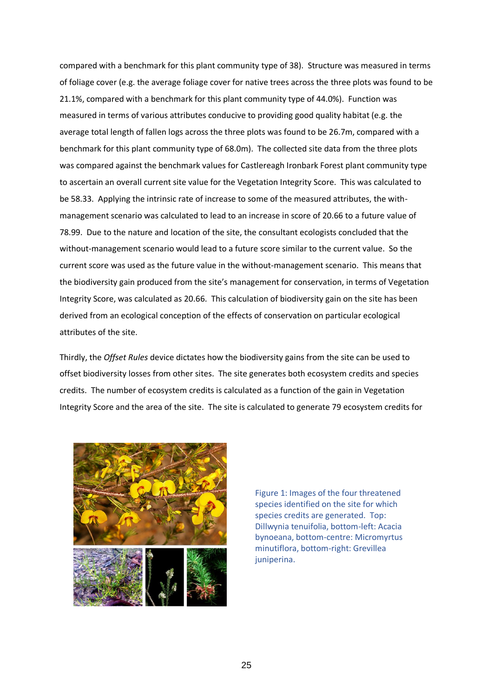compared with a benchmark for this plant community type of 38). Structure was measured in terms of foliage cover (e.g. the average foliage cover for native trees across the three plots was found to be 21.1%, compared with a benchmark for this plant community type of 44.0%). Function was measured in terms of various attributes conducive to providing good quality habitat (e.g. the average total length of fallen logs across the three plots was found to be 26.7m, compared with a benchmark for this plant community type of 68.0m). The collected site data from the three plots was compared against the benchmark values for Castlereagh Ironbark Forest plant community type to ascertain an overall current site value for the Vegetation Integrity Score. This was calculated to be 58.33. Applying the intrinsic rate of increase to some of the measured attributes, the withmanagement scenario was calculated to lead to an increase in score of 20.66 to a future value of 78.99. Due to the nature and location of the site, the consultant ecologists concluded that the without-management scenario would lead to a future score similar to the current value. So the current score was used as the future value in the without-management scenario. This means that the biodiversity gain produced from the site's management for conservation, in terms of Vegetation Integrity Score, was calculated as 20.66. This calculation of biodiversity gain on the site has been derived from an ecological conception of the effects of conservation on particular ecological attributes of the site.

Thirdly, the *Offset Rules* device dictates how the biodiversity gains from the site can be used to offset biodiversity losses from other sites. The site generates both ecosystem credits and species credits. The number of ecosystem credits is calculated as a function of the gain in Vegetation Integrity Score and the area of the site. The site is calculated to generate 79 ecosystem credits for



Figure 1: Images of the four threatened species identified on the site for which species credits are generated. Top: Dillwynia tenuifolia, bottom-left: Acacia bynoeana, bottom-centre: Micromyrtus minutiflora, bottom-right: Grevillea juniperina.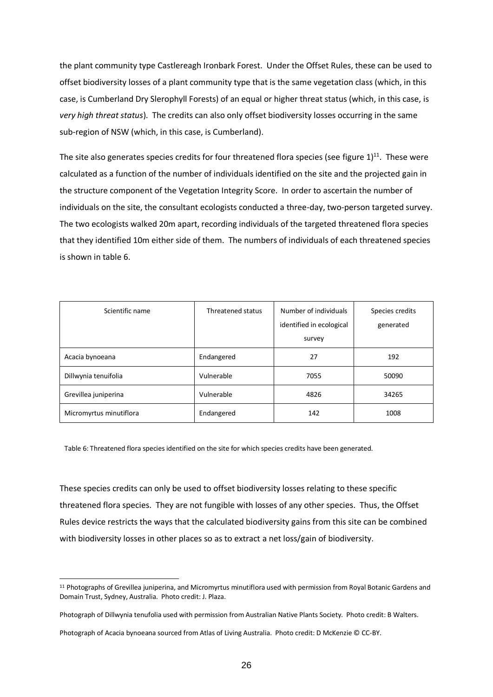the plant community type Castlereagh Ironbark Forest. Under the Offset Rules, these can be used to offset biodiversity losses of a plant community type that is the same vegetation class (which, in this case, is Cumberland Dry Slerophyll Forests) of an equal or higher threat status (which, in this case, is *very high threat status*). The credits can also only offset biodiversity losses occurring in the same sub-region of NSW (which, in this case, is Cumberland).

The site also generates species credits for four threatened flora species (see figure  $1)^{11}$ . These were calculated as a function of the number of individuals identified on the site and the projected gain in the structure component of the Vegetation Integrity Score. In order to ascertain the number of individuals on the site, the consultant ecologists conducted a three-day, two-person targeted survey. The two ecologists walked 20m apart, recording individuals of the targeted threatened flora species that they identified 10m either side of them. The numbers of individuals of each threatened species is shown in table 6.

| Scientific name         | Threatened status | Number of individuals<br>identified in ecological | Species credits<br>generated |
|-------------------------|-------------------|---------------------------------------------------|------------------------------|
|                         |                   | survey                                            |                              |
| Acacia bynoeana         | Endangered        | 27                                                | 192                          |
| Dillwynia tenuifolia    | Vulnerable        | 7055                                              | 50090                        |
| Grevillea juniperina    | Vulnerable        | 4826                                              | 34265                        |
| Micromyrtus minutiflora | Endangered        | 142                                               | 1008                         |

Table 6: Threatened flora species identified on the site for which species credits have been generated.

These species credits can only be used to offset biodiversity losses relating to these specific threatened flora species. They are not fungible with losses of any other species. Thus, the Offset Rules device restricts the ways that the calculated biodiversity gains from this site can be combined with biodiversity losses in other places so as to extract a net loss/gain of biodiversity.

<sup>11</sup> Photographs of Grevillea juniperina, and Micromyrtus minutiflora used with permission from Royal Botanic Gardens and Domain Trust, Sydney, Australia. Photo credit: J. Plaza.

Photograph of Dillwynia tenufolia used with permission from Australian Native Plants Society. Photo credit: B Walters.

Photograph of Acacia bynoeana sourced from Atlas of Living Australia. Photo credit: D McKenzie © CC-BY.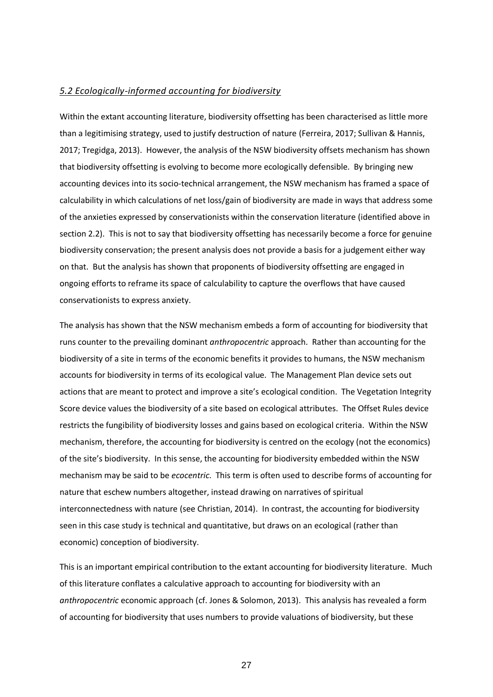#### *5.2 Ecologically-informed accounting for biodiversity*

Within the extant accounting literature, biodiversity offsetting has been characterised as little more than a legitimising strategy, used to justify destruction of nature (Ferreira, 2017; Sullivan & Hannis, 2017; Tregidga, 2013). However, the analysis of the NSW biodiversity offsets mechanism has shown that biodiversity offsetting is evolving to become more ecologically defensible. By bringing new accounting devices into its socio-technical arrangement, the NSW mechanism has framed a space of calculability in which calculations of net loss/gain of biodiversity are made in ways that address some of the anxieties expressed by conservationists within the conservation literature (identified above in section 2.2). This is not to say that biodiversity offsetting has necessarily become a force for genuine biodiversity conservation; the present analysis does not provide a basis for a judgement either way on that. But the analysis has shown that proponents of biodiversity offsetting are engaged in ongoing efforts to reframe its space of calculability to capture the overflows that have caused conservationists to express anxiety.

The analysis has shown that the NSW mechanism embeds a form of accounting for biodiversity that runs counter to the prevailing dominant *anthropocentric* approach. Rather than accounting for the biodiversity of a site in terms of the economic benefits it provides to humans, the NSW mechanism accounts for biodiversity in terms of its ecological value. The Management Plan device sets out actions that are meant to protect and improve a site's ecological condition. The Vegetation Integrity Score device values the biodiversity of a site based on ecological attributes. The Offset Rules device restricts the fungibility of biodiversity losses and gains based on ecological criteria. Within the NSW mechanism, therefore, the accounting for biodiversity is centred on the ecology (not the economics) of the site's biodiversity. In this sense, the accounting for biodiversity embedded within the NSW mechanism may be said to be *ecocentric*. This term is often used to describe forms of accounting for nature that eschew numbers altogether, instead drawing on narratives of spiritual interconnectedness with nature (see Christian, 2014). In contrast, the accounting for biodiversity seen in this case study is technical and quantitative, but draws on an ecological (rather than economic) conception of biodiversity.

This is an important empirical contribution to the extant accounting for biodiversity literature. Much of this literature conflates a calculative approach to accounting for biodiversity with an *anthropocentric* economic approach (cf. Jones & Solomon, 2013). This analysis has revealed a form of accounting for biodiversity that uses numbers to provide valuations of biodiversity, but these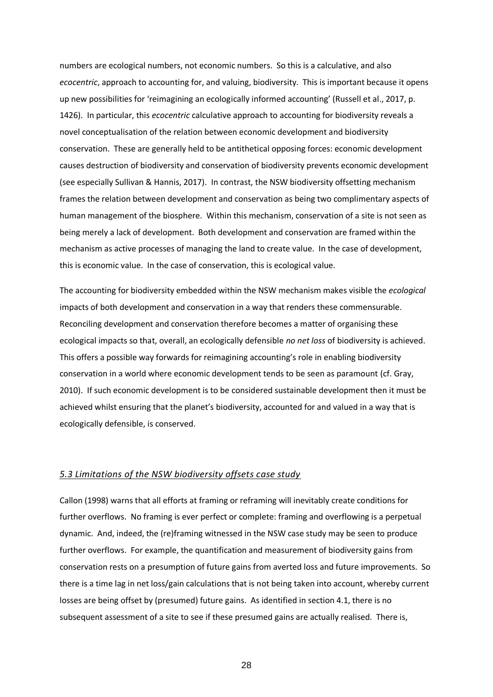numbers are ecological numbers, not economic numbers. So this is a calculative, and also *ecocentric*, approach to accounting for, and valuing, biodiversity. This is important because it opens up new possibilities for 'reimagining an ecologically informed accounting' (Russell et al., 2017, p. 1426). In particular, this *ecocentric* calculative approach to accounting for biodiversity reveals a novel conceptualisation of the relation between economic development and biodiversity conservation. These are generally held to be antithetical opposing forces: economic development causes destruction of biodiversity and conservation of biodiversity prevents economic development (see especially Sullivan & Hannis, 2017). In contrast, the NSW biodiversity offsetting mechanism frames the relation between development and conservation as being two complimentary aspects of human management of the biosphere. Within this mechanism, conservation of a site is not seen as being merely a lack of development. Both development and conservation are framed within the mechanism as active processes of managing the land to create value. In the case of development, this is economic value. In the case of conservation, this is ecological value.

The accounting for biodiversity embedded within the NSW mechanism makes visible the *ecological* impacts of both development and conservation in a way that renders these commensurable. Reconciling development and conservation therefore becomes a matter of organising these ecological impacts so that, overall, an ecologically defensible *no net loss* of biodiversity is achieved. This offers a possible way forwards for reimagining accounting's role in enabling biodiversity conservation in a world where economic development tends to be seen as paramount (cf. Gray, 2010). If such economic development is to be considered sustainable development then it must be achieved whilst ensuring that the planet's biodiversity, accounted for and valued in a way that is ecologically defensible, is conserved.

#### *5.3 Limitations of the NSW biodiversity offsets case study*

Callon (1998) warns that all efforts at framing or reframing will inevitably create conditions for further overflows. No framing is ever perfect or complete: framing and overflowing is a perpetual dynamic. And, indeed, the (re)framing witnessed in the NSW case study may be seen to produce further overflows. For example, the quantification and measurement of biodiversity gains from conservation rests on a presumption of future gains from averted loss and future improvements. So there is a time lag in net loss/gain calculations that is not being taken into account, whereby current losses are being offset by (presumed) future gains. As identified in section 4.1, there is no subsequent assessment of a site to see if these presumed gains are actually realised. There is,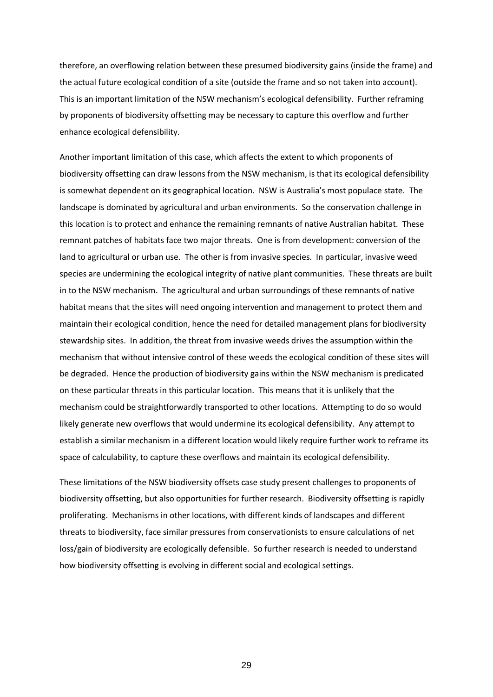therefore, an overflowing relation between these presumed biodiversity gains (inside the frame) and the actual future ecological condition of a site (outside the frame and so not taken into account). This is an important limitation of the NSW mechanism's ecological defensibility. Further reframing by proponents of biodiversity offsetting may be necessary to capture this overflow and further enhance ecological defensibility.

Another important limitation of this case, which affects the extent to which proponents of biodiversity offsetting can draw lessons from the NSW mechanism, is that its ecological defensibility is somewhat dependent on its geographical location. NSW is Australia's most populace state. The landscape is dominated by agricultural and urban environments. So the conservation challenge in this location is to protect and enhance the remaining remnants of native Australian habitat. These remnant patches of habitats face two major threats. One is from development: conversion of the land to agricultural or urban use. The other is from invasive species. In particular, invasive weed species are undermining the ecological integrity of native plant communities. These threats are built in to the NSW mechanism. The agricultural and urban surroundings of these remnants of native habitat means that the sites will need ongoing intervention and management to protect them and maintain their ecological condition, hence the need for detailed management plans for biodiversity stewardship sites. In addition, the threat from invasive weeds drives the assumption within the mechanism that without intensive control of these weeds the ecological condition of these sites will be degraded. Hence the production of biodiversity gains within the NSW mechanism is predicated on these particular threats in this particular location. This means that it is unlikely that the mechanism could be straightforwardly transported to other locations. Attempting to do so would likely generate new overflows that would undermine its ecological defensibility. Any attempt to establish a similar mechanism in a different location would likely require further work to reframe its space of calculability, to capture these overflows and maintain its ecological defensibility.

These limitations of the NSW biodiversity offsets case study present challenges to proponents of biodiversity offsetting, but also opportunities for further research. Biodiversity offsetting is rapidly proliferating. Mechanisms in other locations, with different kinds of landscapes and different threats to biodiversity, face similar pressures from conservationists to ensure calculations of net loss/gain of biodiversity are ecologically defensible. So further research is needed to understand how biodiversity offsetting is evolving in different social and ecological settings.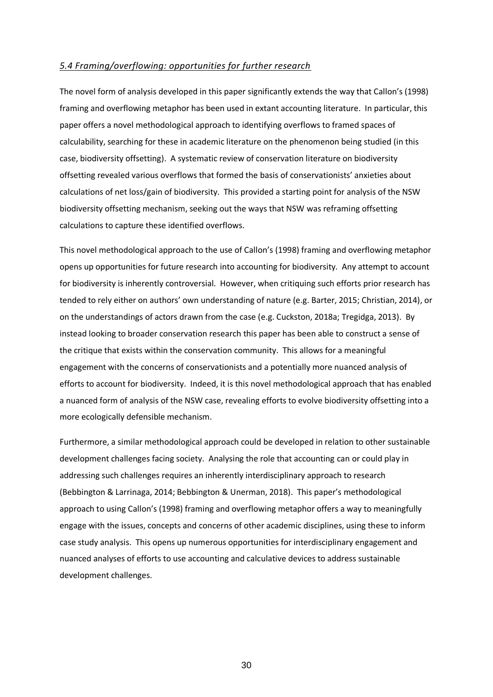#### *5.4 Framing/overflowing: opportunities for further research*

The novel form of analysis developed in this paper significantly extends the way that Callon's (1998) framing and overflowing metaphor has been used in extant accounting literature. In particular, this paper offers a novel methodological approach to identifying overflows to framed spaces of calculability, searching for these in academic literature on the phenomenon being studied (in this case, biodiversity offsetting). A systematic review of conservation literature on biodiversity offsetting revealed various overflows that formed the basis of conservationists' anxieties about calculations of net loss/gain of biodiversity. This provided a starting point for analysis of the NSW biodiversity offsetting mechanism, seeking out the ways that NSW was reframing offsetting calculations to capture these identified overflows.

This novel methodological approach to the use of Callon's (1998) framing and overflowing metaphor opens up opportunities for future research into accounting for biodiversity. Any attempt to account for biodiversity is inherently controversial. However, when critiquing such efforts prior research has tended to rely either on authors' own understanding of nature (e.g. Barter, 2015; Christian, 2014), or on the understandings of actors drawn from the case (e.g. Cuckston, 2018a; Tregidga, 2013). By instead looking to broader conservation research this paper has been able to construct a sense of the critique that exists within the conservation community. This allows for a meaningful engagement with the concerns of conservationists and a potentially more nuanced analysis of efforts to account for biodiversity. Indeed, it is this novel methodological approach that has enabled a nuanced form of analysis of the NSW case, revealing efforts to evolve biodiversity offsetting into a more ecologically defensible mechanism.

Furthermore, a similar methodological approach could be developed in relation to other sustainable development challenges facing society. Analysing the role that accounting can or could play in addressing such challenges requires an inherently interdisciplinary approach to research (Bebbington & Larrinaga, 2014; Bebbington & Unerman, 2018). This paper's methodological approach to using Callon's (1998) framing and overflowing metaphor offers a way to meaningfully engage with the issues, concepts and concerns of other academic disciplines, using these to inform case study analysis. This opens up numerous opportunities for interdisciplinary engagement and nuanced analyses of efforts to use accounting and calculative devices to address sustainable development challenges.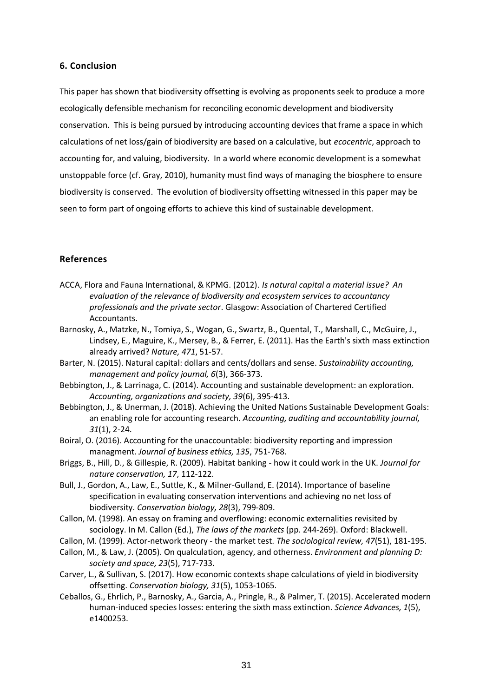## **6. Conclusion**

This paper has shown that biodiversity offsetting is evolving as proponents seek to produce a more ecologically defensible mechanism for reconciling economic development and biodiversity conservation. This is being pursued by introducing accounting devices that frame a space in which calculations of net loss/gain of biodiversity are based on a calculative, but *ecocentric*, approach to accounting for, and valuing, biodiversity. In a world where economic development is a somewhat unstoppable force (cf. Gray, 2010), humanity must find ways of managing the biosphere to ensure biodiversity is conserved. The evolution of biodiversity offsetting witnessed in this paper may be seen to form part of ongoing efforts to achieve this kind of sustainable development.

# **References**

- ACCA, Flora and Fauna International, & KPMG. (2012). *Is natural capital a material issue? An evaluation of the relevance of biodiversity and ecosystem services to accountancy professionals and the private sector*. Glasgow: Association of Chartered Certified Accountants.
- Barnosky, A., Matzke, N., Tomiya, S., Wogan, G., Swartz, B., Quental, T., Marshall, C., McGuire, J., Lindsey, E., Maguire, K., Mersey, B., & Ferrer, E. (2011). Has the Earth's sixth mass extinction already arrived? *Nature, 471*, 51-57.
- Barter, N. (2015). Natural capital: dollars and cents/dollars and sense. *Sustainability accounting, management and policy journal, 6*(3), 366-373.
- Bebbington, J., & Larrinaga, C. (2014). Accounting and sustainable development: an exploration. *Accounting, organizations and society, 39*(6), 395-413.
- Bebbington, J., & Unerman, J. (2018). Achieving the United Nations Sustainable Development Goals: an enabling role for accounting research. *Accounting, auditing and accountability journal, 31*(1), 2-24.
- Boiral, O. (2016). Accounting for the unaccountable: biodiversity reporting and impression managment. *Journal of business ethics, 135*, 751-768.
- Briggs, B., Hill, D., & Gillespie, R. (2009). Habitat banking how it could work in the UK. *Journal for nature conservation, 17*, 112-122.
- Bull, J., Gordon, A., Law, E., Suttle, K., & Milner-Gulland, E. (2014). Importance of baseline specification in evaluating conservation interventions and achieving no net loss of biodiversity. *Conservation biology, 28*(3), 799-809.
- Callon, M. (1998). An essay on framing and overflowing: economic externalities revisited by sociology. In M. Callon (Ed.), *The laws of the markets* (pp. 244-269). Oxford: Blackwell.
- Callon, M. (1999). Actor-network theory the market test. *The sociological review, 47*(51), 181-195.
- Callon, M., & Law, J. (2005). On qualculation, agency, and otherness. *Environment and planning D: society and space, 23*(5), 717-733.
- Carver, L., & Sullivan, S. (2017). How economic contexts shape calculations of yield in biodiversity offsetting. *Conservation biology, 31*(5), 1053-1065.
- Ceballos, G., Ehrlich, P., Barnosky, A., Garcia, A., Pringle, R., & Palmer, T. (2015). Accelerated modern human-induced species losses: entering the sixth mass extinction. *Science Advances, 1*(5), e1400253.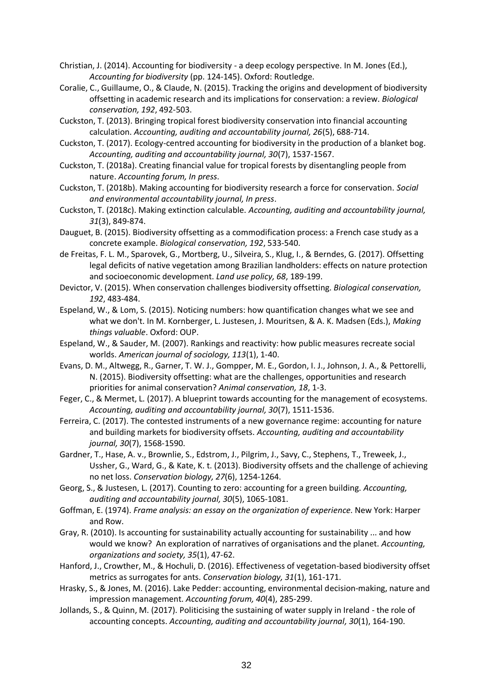- Christian, J. (2014). Accounting for biodiversity a deep ecology perspective. In M. Jones (Ed.), *Accounting for biodiversity* (pp. 124-145). Oxford: Routledge.
- Coralie, C., Guillaume, O., & Claude, N. (2015). Tracking the origins and development of biodiversity offsetting in academic research and its implications for conservation: a review. *Biological conservation, 192*, 492-503.
- Cuckston, T. (2013). Bringing tropical forest biodiversity conservation into financial accounting calculation. *Accounting, auditing and accountability journal, 26*(5), 688-714.
- Cuckston, T. (2017). Ecology-centred accounting for biodiversity in the production of a blanket bog. *Accounting, auditing and accountability journal, 30*(7), 1537-1567.
- Cuckston, T. (2018a). Creating financial value for tropical forests by disentangling people from nature. *Accounting forum, In press*.
- Cuckston, T. (2018b). Making accounting for biodiversity research a force for conservation. *Social and environmental accountability journal, In press*.
- Cuckston, T. (2018c). Making extinction calculable. *Accounting, auditing and accountability journal, 31*(3), 849-874.
- Dauguet, B. (2015). Biodiversity offsetting as a commodification process: a French case study as a concrete example. *Biological conservation, 192*, 533-540.
- de Freitas, F. L. M., Sparovek, G., Mortberg, U., Silveira, S., Klug, I., & Berndes, G. (2017). Offsetting legal deficits of native vegetation among Brazilian landholders: effects on nature protection and socioeconomic development. *Land use policy, 68*, 189-199.
- Devictor, V. (2015). When conservation challenges biodiversity offsetting. *Biological conservation, 192*, 483-484.
- Espeland, W., & Lom, S. (2015). Noticing numbers: how quantification changes what we see and what we don't. In M. Kornberger, L. Justesen, J. Mouritsen, & A. K. Madsen (Eds.), *Making things valuable*. Oxford: OUP.
- Espeland, W., & Sauder, M. (2007). Rankings and reactivity: how public measures recreate social worlds. *American journal of sociology, 113*(1), 1-40.
- Evans, D. M., Altwegg, R., Garner, T. W. J., Gompper, M. E., Gordon, I. J., Johnson, J. A., & Pettorelli, N. (2015). Biodiversity offsetting: what are the challenges, opportunities and research priorities for animal conservation? *Animal conservation, 18*, 1-3.
- Feger, C., & Mermet, L. (2017). A blueprint towards accounting for the management of ecosystems. *Accounting, auditing and accountability journal, 30*(7), 1511-1536.
- Ferreira, C. (2017). The contested instruments of a new governance regime: accounting for nature and building markets for biodiversity offsets. *Accounting, auditing and accountability journal, 30*(7), 1568-1590.
- Gardner, T., Hase, A. v., Brownlie, S., Edstrom, J., Pilgrim, J., Savy, C., Stephens, T., Treweek, J., Ussher, G., Ward, G., & Kate, K. t. (2013). Biodiversity offsets and the challenge of achieving no net loss. *Conservation biology, 27*(6), 1254-1264.
- Georg, S., & Justesen, L. (2017). Counting to zero: accounting for a green building. *Accounting, auditing and accountability journal, 30*(5), 1065-1081.
- Goffman, E. (1974). *Frame analysis: an essay on the organization of experience*. New York: Harper and Row.
- Gray, R. (2010). Is accounting for sustainability actually accounting for sustainability ... and how would we know? An exploration of narratives of organisations and the planet. *Accounting, organizations and society, 35*(1), 47-62.
- Hanford, J., Crowther, M., & Hochuli, D. (2016). Effectiveness of vegetation-based biodiversity offset metrics as surrogates for ants. *Conservation biology, 31*(1), 161-171.
- Hrasky, S., & Jones, M. (2016). Lake Pedder: accounting, environmental decision-making, nature and impression management. *Accounting forum, 40*(4), 285-299.
- Jollands, S., & Quinn, M. (2017). Politicising the sustaining of water supply in Ireland the role of accounting concepts. *Accounting, auditing and accountability journal, 30*(1), 164-190.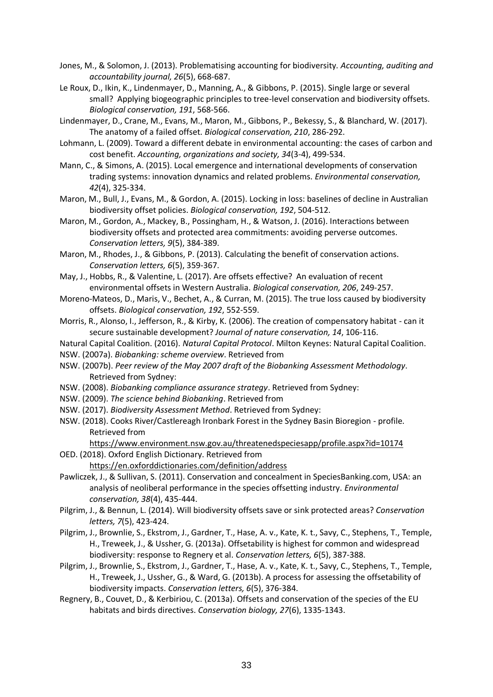- Jones, M., & Solomon, J. (2013). Problematising accounting for biodiversity. *Accounting, auditing and accountability journal, 26*(5), 668-687.
- Le Roux, D., Ikin, K., Lindenmayer, D., Manning, A., & Gibbons, P. (2015). Single large or several small? Applying biogeographic principles to tree-level conservation and biodiversity offsets. *Biological conservation, 191*, 568-566.
- Lindenmayer, D., Crane, M., Evans, M., Maron, M., Gibbons, P., Bekessy, S., & Blanchard, W. (2017). The anatomy of a failed offset. *Biological conservation, 210*, 286-292.
- Lohmann, L. (2009). Toward a different debate in environmental accounting: the cases of carbon and cost benefit. *Accounting, organizations and society, 34*(3-4), 499-534.
- Mann, C., & Simons, A. (2015). Local emergence and international developments of conservation trading systems: innovation dynamics and related problems. *Environmental conservation, 42*(4), 325-334.
- Maron, M., Bull, J., Evans, M., & Gordon, A. (2015). Locking in loss: baselines of decline in Australian biodiversity offset policies. *Biological conservation, 192*, 504-512.
- Maron, M., Gordon, A., Mackey, B., Possingham, H., & Watson, J. (2016). Interactions between biodiversity offsets and protected area commitments: avoiding perverse outcomes. *Conservation letters, 9*(5), 384-389.
- Maron, M., Rhodes, J., & Gibbons, P. (2013). Calculating the benefit of conservation actions. *Conservation letters, 6*(5), 359-367.
- May, J., Hobbs, R., & Valentine, L. (2017). Are offsets effective? An evaluation of recent environmental offsets in Western Australia. *Biological conservation, 206*, 249-257.
- Moreno-Mateos, D., Maris, V., Bechet, A., & Curran, M. (2015). The true loss caused by biodiversity offsets. *Biological conservation, 192*, 552-559.
- Morris, R., Alonso, I., Jefferson, R., & Kirby, K. (2006). The creation of compensatory habitat can it secure sustainable development? *Journal of nature conservation, 14*, 106-116.
- Natural Capital Coalition. (2016). *Natural Capital Protocol*. Milton Keynes: Natural Capital Coalition.
- NSW. (2007a). *Biobanking: scheme overview*. Retrieved from
- NSW. (2007b). *Peer review of the May 2007 draft of the Biobanking Assessment Methodology*. Retrieved from Sydney:
- NSW. (2008). *Biobanking compliance assurance strategy*. Retrieved from Sydney:
- NSW. (2009). *The science behind Biobanking*. Retrieved from
- NSW. (2017). *Biodiversity Assessment Method*. Retrieved from Sydney:
- NSW. (2018). Cooks River/Castlereagh Ironbark Forest in the Sydney Basin Bioregion profile. Retrieved from
	- <https://www.environment.nsw.gov.au/threatenedspeciesapp/profile.aspx?id=10174>
- OED. (2018). Oxford English Dictionary. Retrieved from <https://en.oxforddictionaries.com/definition/address>
- Pawliczek, J., & Sullivan, S. (2011). Conservation and concealment in SpeciesBanking.com, USA: an analysis of neoliberal performance in the species offsetting industry. *Environmental conservation, 38*(4), 435-444.
- Pilgrim, J., & Bennun, L. (2014). Will biodiversity offsets save or sink protected areas? *Conservation letters, 7*(5), 423-424.
- Pilgrim, J., Brownlie, S., Ekstrom, J., Gardner, T., Hase, A. v., Kate, K. t., Savy, C., Stephens, T., Temple, H., Treweek, J., & Ussher, G. (2013a). Offsetability is highest for common and widespread biodiversity: response to Regnery et al. *Conservation letters, 6*(5), 387-388.
- Pilgrim, J., Brownlie, S., Ekstrom, J., Gardner, T., Hase, A. v., Kate, K. t., Savy, C., Stephens, T., Temple, H., Treweek, J., Ussher, G., & Ward, G. (2013b). A process for assessing the offsetability of biodiversity impacts. *Conservation letters, 6*(5), 376-384.
- Regnery, B., Couvet, D., & Kerbiriou, C. (2013a). Offsets and conservation of the species of the EU habitats and birds directives. *Conservation biology, 27*(6), 1335-1343.